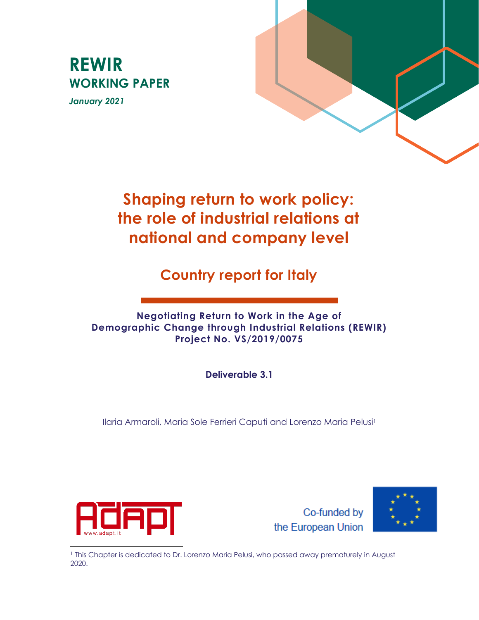# **REWIR WORKING PAPER**

*January 2021*



# **Shaping return to work policy: the role of industrial relations at national and company level**

**Country report for Italy**

**Negotiating Return to Work in the Age of Demographic Change through Industrial Relations (REWIR) Project No. VS/2019/0075**

**Deliverable 3.1**

Ilaria Armaroli, Maria Sole Ferrieri Caputi and Lorenzo Maria Pelusi<sup>1</sup>



Co-funded by the European Union



<sup>1</sup> This Chapter is dedicated to Dr. Lorenzo Maria Pelusi, who passed away prematurely in August 2020.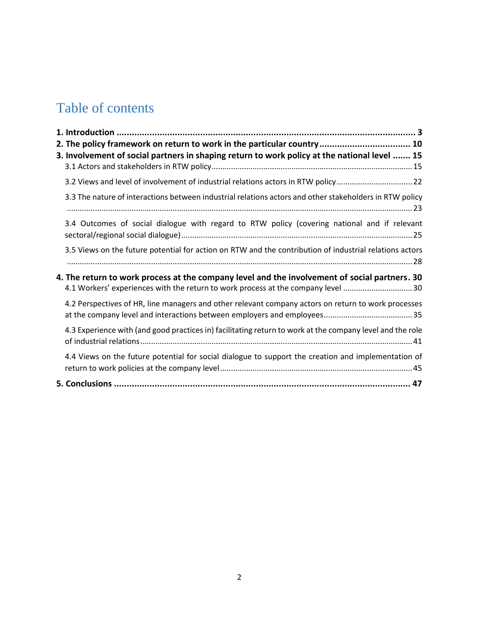# Table of contents

| 2. The policy framework on return to work in the particular country 10                                                                                                            |
|-----------------------------------------------------------------------------------------------------------------------------------------------------------------------------------|
| 3. Involvement of social partners in shaping return to work policy at the national level  15                                                                                      |
|                                                                                                                                                                                   |
| 3.2 Views and level of involvement of industrial relations actors in RTW policy22                                                                                                 |
| 3.3 The nature of interactions between industrial relations actors and other stakeholders in RTW policy                                                                           |
| 3.4 Outcomes of social dialogue with regard to RTW policy (covering national and if relevant                                                                                      |
| 3.5 Views on the future potential for action on RTW and the contribution of industrial relations actors                                                                           |
| 4. The return to work process at the company level and the involvement of social partners. 30<br>4.1 Workers' experiences with the return to work process at the company level 30 |
| 4.2 Perspectives of HR, line managers and other relevant company actors on return to work processes                                                                               |
| 4.3 Experience with (and good practices in) facilitating return to work at the company level and the role                                                                         |
| 4.4 Views on the future potential for social dialogue to support the creation and implementation of                                                                               |
|                                                                                                                                                                                   |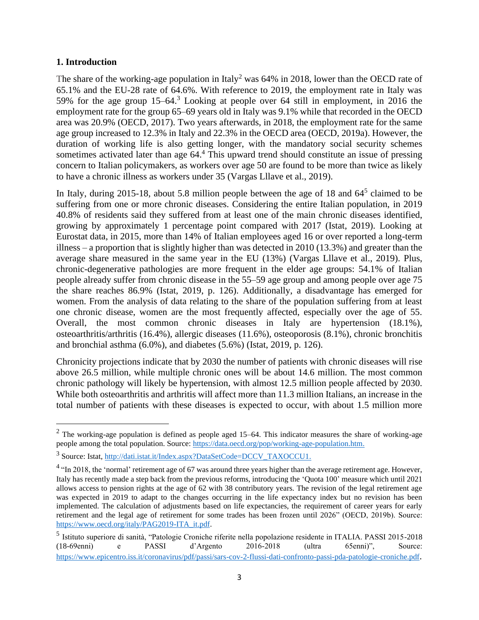#### <span id="page-2-0"></span>**1. Introduction**

The share of the working-age population in Italy<sup>2</sup> was  $64\%$  in 2018, lower than the OECD rate of 65.1% and the EU-28 rate of 64.6%. With reference to 2019, the employment rate in Italy was 59% for the age group 15–64. <sup>3</sup> Looking at people over 64 still in employment, in 2016 the employment rate for the group 65–69 years old in Italy was 9.1% while that recorded in the OECD area was 20.9% (OECD, 2017). Two years afterwards, in 2018, the employment rate for the same age group increased to 12.3% in Italy and 22.3% in the OECD area (OECD, 2019a). However, the duration of working life is also getting longer, with the mandatory social security schemes sometimes activated later than age 64.<sup>4</sup> This upward trend should constitute an issue of pressing concern to Italian policymakers, as workers over age 50 are found to be more than twice as likely to have a chronic illness as workers under 35 (Vargas Lllave et al., 2019).

In Italy, during 2015-18, about 5.8 million people between the age of 18 and  $64<sup>5</sup>$  claimed to be suffering from one or more chronic diseases. Considering the entire Italian population, in 2019 40.8% of residents said they suffered from at least one of the main chronic diseases identified, growing by approximately 1 percentage point compared with 2017 (Istat, 2019). Looking at Eurostat data, in 2015, more than 14% of Italian employees aged 16 or over reported a long-term illness – a proportion that is slightly higher than was detected in 2010 (13.3%) and greater than the average share measured in the same year in the EU (13%) (Vargas Lllave et al., 2019). Plus, chronic-degenerative pathologies are more frequent in the elder age groups: 54.1% of Italian people already suffer from chronic disease in the 55–59 age group and among people over age 75 the share reaches 86.9% (Istat, 2019, p. 126). Additionally, a disadvantage has emerged for women. From the analysis of data relating to the share of the population suffering from at least one chronic disease, women are the most frequently affected, especially over the age of 55. Overall, the most common chronic diseases in Italy are hypertension (18.1%), osteoarthritis/arthritis (16.4%), allergic diseases (11.6%), osteoporosis (8.1%), chronic bronchitis and bronchial asthma (6.0%), and diabetes (5.6%) (Istat, 2019, p. 126).

Chronicity projections indicate that by 2030 the number of patients with chronic diseases will rise above 26.5 million, while multiple chronic ones will be about 14.6 million. The most common chronic pathology will likely be hypertension, with almost 12.5 million people affected by 2030. While both osteoarthritis and arthritis will affect more than 11.3 million Italians, an increase in the total number of patients with these diseases is expected to occur, with about 1.5 million more

 $2$  The working-age population is defined as people aged 15–64. This indicator measures the share of working-age people among the total population. Source[: https://data.oecd.org/pop/working-age-population.htm.](https://data.oecd.org/pop/working-age-population.htm)

<sup>&</sup>lt;sup>3</sup> Source: Istat, [http://dati.istat.it/Index.aspx?DataSetCode=DCCV\\_TAXOCCU1.](http://dati.istat.it/Index.aspx?DataSetCode=DCCV_TAXOCCU1)

 $4$  "In 2018, the 'normal' retirement age of 67 was around three years higher than the average retirement age. However, Italy has recently made a step back from the previous reforms, introducing the 'Quota 100' measure which until 2021 allows access to pension rights at the age of 62 with 38 contributory years. The revision of the legal retirement age was expected in 2019 to adapt to the changes occurring in the life expectancy index but no revision has been implemented. The calculation of adjustments based on life expectancies, the requirement of career years for early retirement and the legal age of retirement for some trades has been frozen until 2026" (OECD, 2019b). Source: [https://www.oecd.org/italy/PAG2019-ITA\\_it.pdf.](https://www.oecd.org/italy/PAG2019-ITA_it.pdf)

<sup>5</sup> Istituto superiore di sanità, "Patologie Croniche riferite nella popolazione residente in ITALIA. PASSI 2015-2018 (18-69enni) e PASSI d'Argento 2016-2018 (ultra 65enni)", Source: <https://www.epicentro.iss.it/coronavirus/pdf/passi/sars-cov-2-flussi-dati-confronto-passi-pda-patologie-croniche.pdf>.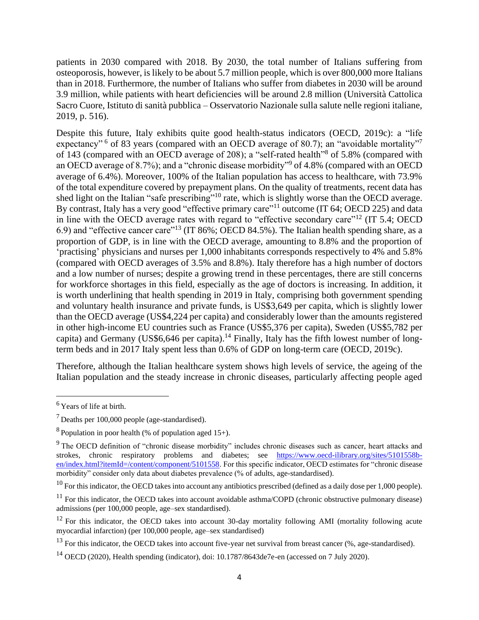patients in 2030 compared with 2018. By 2030, the total number of Italians suffering from osteoporosis, however, is likely to be about 5.7 million people, which is over 800,000 more Italians than in 2018. Furthermore, the number of Italians who suffer from diabetes in 2030 will be around 3.9 million, while patients with heart deficiencies will be around 2.8 million (Università Cattolica Sacro Cuore, Istituto di sanità pubblica – Osservatorio Nazionale sulla salute nelle regioni italiane, 2019, p. 516).

Despite this future, Italy exhibits quite good health-status indicators (OECD, 2019c): a "life expectancy"<sup>6</sup> of 83 years (compared with an OECD average of 80.7); an "avoidable mortality"<sup>7</sup> of 143 (compared with an OECD average of 208); a "self-rated health"<sup>8</sup> of 5.8% (compared with an OECD average of 8.7%); and a "chronic disease morbidity" of 4.8% (compared with an OECD average of 6.4%). Moreover, 100% of the Italian population has access to healthcare, with 73.9% of the total expenditure covered by prepayment plans. On the quality of treatments, recent data has shed light on the Italian "safe prescribing"<sup>10</sup> rate, which is slightly worse than the OECD average. By contrast, Italy has a very good "effective primary care"<sup>11</sup> outcome (IT 64; OECD 225) and data in line with the OECD average rates with regard to "effective secondary care"<sup>12</sup> (IT 5.4; OECD 6.9) and "effective cancer care"<sup>13</sup> (IT 86%; OECD 84.5%). The Italian health spending share, as a proportion of GDP, is in line with the OECD average, amounting to 8.8% and the proportion of 'practising' physicians and nurses per 1,000 inhabitants corresponds respectively to 4% and 5.8% (compared with OECD averages of 3.5% and 8.8%). Italy therefore has a high number of doctors and a low number of nurses; despite a growing trend in these percentages, there are still concerns for workforce shortages in this field, especially as the age of doctors is increasing. In addition, it is worth underlining that health spending in 2019 in Italy, comprising both government spending and voluntary health insurance and private funds, is US\$3,649 per capita, which is slightly lower than the OECD average (US\$4,224 per capita) and considerably lower than the amounts registered in other high-income EU countries such as France (US\$5,376 per capita), Sweden (US\$5,782 per capita) and Germany (US\$6,646 per capita).<sup>14</sup> Finally, Italy has the fifth lowest number of longterm beds and in 2017 Italy spent less than 0.6% of GDP on long-term care (OECD, 2019c).

Therefore, although the Italian healthcare system shows high levels of service, the ageing of the Italian population and the steady increase in chronic diseases, particularly affecting people aged

<sup>&</sup>lt;sup>6</sup> Years of life at birth.

<sup>7</sup> Deaths per 100,000 people (age-standardised).

<sup>&</sup>lt;sup>8</sup> Population in poor health (% of population aged  $15+$ ).

<sup>&</sup>lt;sup>9</sup> The OECD definition of "chronic disease morbidity" includes chronic diseases such as cancer, heart attacks and strokes, chronic respiratory problems and diabetes; see [https://www.oecd-ilibrary.org/sites/5101558b](https://www.oecd-ilibrary.org/sites/5101558b-en/index.html?itemId=/content/component/5101558)[en/index.html?itemId=/content/component/5101558.](https://www.oecd-ilibrary.org/sites/5101558b-en/index.html?itemId=/content/component/5101558) For this specific indicator, OECD estimates for "chronic disease morbidity" consider only data about diabetes prevalence (% of adults, age-standardised).

 $10$  For this indicator, the OECD takes into account any antibiotics prescribed (defined as a daily dose per 1,000 people).

 $11$  For this indicator, the OECD takes into account avoidable asthma/COPD (chronic obstructive pulmonary disease) admissions (per 100,000 people, age–sex standardised).

<sup>&</sup>lt;sup>12</sup> For this indicator, the OECD takes into account 30-day mortality following AMI (mortality following acute myocardial infarction) (per 100,000 people, age–sex standardised)

 $13$  For this indicator, the OECD takes into account five-year net survival from breast cancer (%, age-standardised).

<sup>&</sup>lt;sup>14</sup> OECD (2020), Health spending (indicator), doi: 10.1787/8643de7e-en (accessed on 7 July 2020).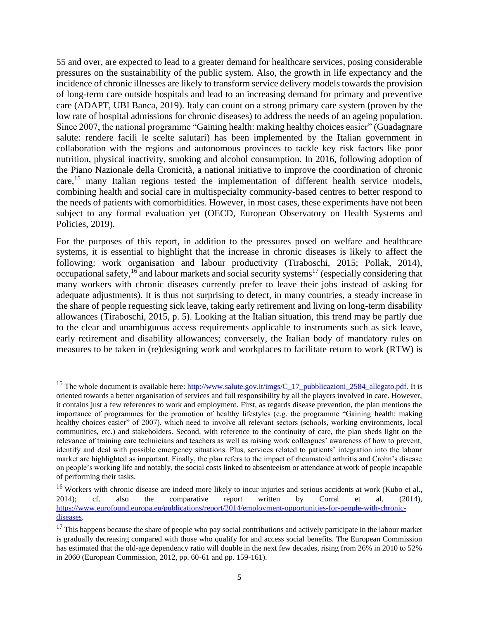55 and over, are expected to lead to a greater demand for healthcare services, posing considerable pressures on the sustainability of the public system. Also, the growth in life expectancy and the incidence of chronic illnesses are likely to transform service delivery models towards the provision of long-term care outside hospitals and lead to an increasing demand for primary and preventive care (ADAPT, UBI Banca, 2019). Italy can count on a strong primary care system (proven by the low rate of hospital admissions for chronic diseases) to address the needs of an ageing population. Since 2007, the national programme "Gaining health: making healthy choices easier" (Guadagnare salute: rendere facili le scelte salutari) has been implemented by the Italian government in collaboration with the regions and autonomous provinces to tackle key risk factors like poor nutrition, physical inactivity, smoking and alcohol consumption. In 2016, following adoption of the Piano Nazionale della Cronicità, a national initiative to improve the coordination of chronic care,<sup>15</sup> many Italian regions tested the implementation of different health service models, combining health and social care in multispecialty community-based centres to better respond to the needs of patients with comorbidities. However, in most cases, these experiments have not been subject to any formal evaluation yet (OECD, European Observatory on Health Systems and Policies, 2019).

For the purposes of this report, in addition to the pressures posed on welfare and healthcare systems, it is essential to highlight that the increase in chronic diseases is likely to affect the following: work organisation and labour productivity (Tiraboschi, 2015; Pollak, 2014), occupational safety, <sup>16</sup> and labour markets and social security systems<sup>17</sup> (especially considering that many workers with chronic diseases currently prefer to leave their jobs instead of asking for adequate adjustments). It is thus not surprising to detect, in many countries, a steady increase in the share of people requesting sick leave, taking early retirement and living on long-term disability allowances (Tiraboschi, 2015, p. 5). Looking at the Italian situation, this trend may be partly due to the clear and unambiguous access requirements applicable to instruments such as sick leave, early retirement and disability allowances; conversely, the Italian body of mandatory rules on measures to be taken in (re)designing work and workplaces to facilitate return to work (RTW) is

<sup>&</sup>lt;sup>15</sup> The whole document is available here: [http://www.salute.gov.it/imgs/C\\_17\\_pubblicazioni\\_2584\\_allegato.pdf.](http://www.salute.gov.it/imgs/C_17_pubblicazioni_2584_allegato.pdf) It is oriented towards a better organisation of services and full responsibility by all the players involved in care. However, it contains just a few references to work and employment. First, as regards disease prevention, the plan mentions the importance of programmes for the promotion of healthy lifestyles (e.g. the programme "Gaining health: making healthy choices easier" of 2007), which need to involve all relevant sectors (schools, working environments, local communities, etc.) and stakeholders. Second, with reference to the continuity of care, the plan sheds light on the relevance of training care technicians and teachers as well as raising work colleagues' awareness of how to prevent, identify and deal with possible emergency situations. Plus, services related to patients' integration into the labour market are highlighted as important. Finally, the plan refers to the impact of rheumatoid arthritis and Crohn's disease on people's working life and notably, the social costs linked to absenteeism or attendance at work of people incapable of performing their tasks.

<sup>&</sup>lt;sup>16</sup> Workers with chronic disease are indeed more likely to incur injuries and serious accidents at work (Kubo et al., 2014); cf. also the comparative report written by Corral et al. (2014), [https://www.eurofound.europa.eu/publications/report/2014/employment-opportunities-for-people-with-chronic](https://www.eurofound.europa.eu/publications/report/2014/employment-opportunities-for-people-with-chronic-diseases)[diseases.](https://www.eurofound.europa.eu/publications/report/2014/employment-opportunities-for-people-with-chronic-diseases)

 $17$  This happens because the share of people who pay social contributions and actively participate in the labour market is gradually decreasing compared with those who qualify for and access social benefits. The European Commission has estimated that the old-age dependency ratio will double in the next few decades, rising from 26% in 2010 to 52% in 2060 (European Commission, 2012, pp. 60-61 and pp. 159-161).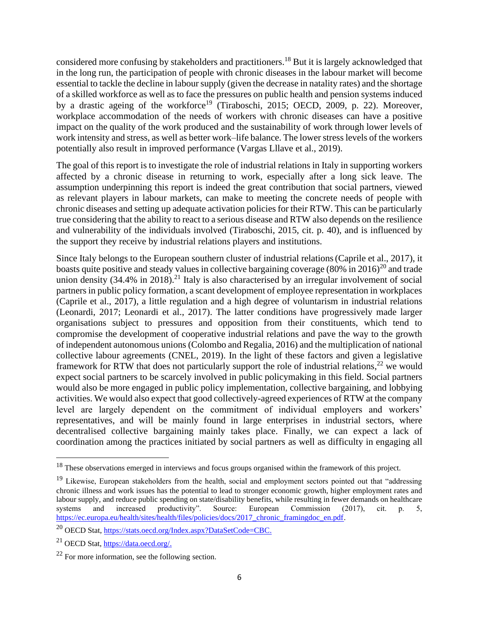considered more confusing by stakeholders and practitioners. <sup>18</sup> But it is largely acknowledged that in the long run, the participation of people with chronic diseases in the labour market will become essential to tackle the decline in labour supply (given the decrease in natality rates) and the shortage of a skilled workforce as well as to face the pressures on public health and pension systems induced by a drastic ageing of the workforce<sup>19</sup> (Tiraboschi, 2015; OECD, 2009, p. 22). Moreover, workplace accommodation of the needs of workers with chronic diseases can have a positive impact on the quality of the work produced and the sustainability of work through lower levels of work intensity and stress, as well as better work–life balance. The lower stress levels of the workers potentially also result in improved performance (Vargas Lllave et al., 2019).

The goal of this report is to investigate the role of industrial relations in Italy in supporting workers affected by a chronic disease in returning to work, especially after a long sick leave. The assumption underpinning this report is indeed the great contribution that social partners, viewed as relevant players in labour markets, can make to meeting the concrete needs of people with chronic diseases and setting up adequate activation policies for their RTW. This can be particularly true considering that the ability to react to a serious disease and RTW also depends on the resilience and vulnerability of the individuals involved (Tiraboschi, 2015, cit. p. 40), and is influenced by the support they receive by industrial relations players and institutions.

Since Italy belongs to the European southern cluster of industrial relations(Caprile et al., 2017), it boasts quite positive and steady values in collective bargaining coverage  $(80\%$  in 2016)<sup>20</sup> and trade union density  $(34.4\% \text{ in } 2018).^{21}$  Italy is also characterised by an irregular involvement of social partners in public policy formation, a scant development of employee representation in workplaces (Caprile et al., 2017), a little regulation and a high degree of voluntarism in industrial relations (Leonardi, 2017; Leonardi et al., 2017). The latter conditions have progressively made larger organisations subject to pressures and opposition from their constituents, which tend to compromise the development of cooperative industrial relations and pave the way to the growth of independent autonomous unions (Colombo and Regalia, 2016) and the multiplication of national collective labour agreements (CNEL, 2019). In the light of these factors and given a legislative framework for RTW that does not particularly support the role of industrial relations,<sup>22</sup> we would expect social partners to be scarcely involved in public policymaking in this field. Social partners would also be more engaged in public policy implementation, collective bargaining, and lobbying activities. We would also expect that good collectively-agreed experiences of RTW at the company level are largely dependent on the commitment of individual employers and workers' representatives, and will be mainly found in large enterprises in industrial sectors, where decentralised collective bargaining mainly takes place. Finally, we can expect a lack of coordination among the practices initiated by social partners as well as difficulty in engaging all

<sup>&</sup>lt;sup>18</sup> These observations emerged in interviews and focus groups organised within the framework of this project.

<sup>&</sup>lt;sup>19</sup> Likewise, European stakeholders from the health, social and employment sectors pointed out that "addressing" chronic illness and work issues has the potential to lead to stronger economic growth, higher employment rates and labour supply, and reduce public spending on state/disability benefits, while resulting in fewer demands on healthcare systems and increased productivity". Source: European Commission (2017), cit. p. 5, [https://ec.europa.eu/health/sites/health/files/policies/docs/2017\\_chronic\\_framingdoc\\_en.pdf.](https://ec.europa.eu/health/sites/health/files/policies/docs/2017_chronic_framingdoc_en.pdf)

<sup>20</sup> OECD Stat, [https://stats.oecd.org/Index.aspx?DataSetCode=CBC.](https://stats.oecd.org/Index.aspx?DataSetCode=CBC)

<sup>21</sup> OECD Stat[, https://data.oecd.org/.](https://data.oecd.org/)

 $22$  For more information, see the following section.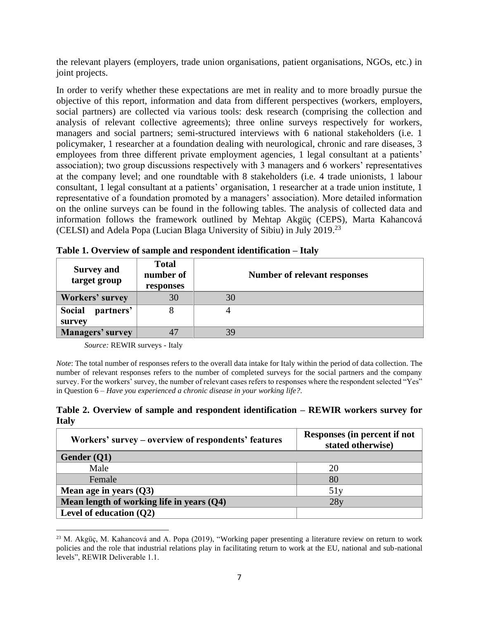the relevant players (employers, trade union organisations, patient organisations, NGOs, etc.) in joint projects.

In order to verify whether these expectations are met in reality and to more broadly pursue the objective of this report, information and data from different perspectives (workers, employers, social partners) are collected via various tools: desk research (comprising the collection and analysis of relevant collective agreements); three online surveys respectively for workers, managers and social partners; semi-structured interviews with 6 national stakeholders (i.e. 1 policymaker, 1 researcher at a foundation dealing with neurological, chronic and rare diseases, 3 employees from three different private employment agencies, 1 legal consultant at a patients' association); two group discussions respectively with 3 managers and 6 workers' representatives at the company level; and one roundtable with 8 stakeholders (i.e. 4 trade unionists, 1 labour consultant, 1 legal consultant at a patients' organisation, 1 researcher at a trade union institute, 1 representative of a foundation promoted by a managers' association). More detailed information on the online surveys can be found in the following tables. The analysis of collected data and information follows the framework outlined by Mehtap Akgüç (CEPS), Marta Kahancová (CELSI) and Adela Popa (Lucian Blaga University of Sibiu) in July 2019. 23

| <b>Survey and</b><br>target group | <b>Total</b><br>number of | Number of relevant responses |  |  |  |  |  |
|-----------------------------------|---------------------------|------------------------------|--|--|--|--|--|
|                                   | responses                 |                              |  |  |  |  |  |
| <b>Workers' survey</b>            | 30                        | 30                           |  |  |  |  |  |
| <b>Social</b><br>partners'        |                           |                              |  |  |  |  |  |
| survey                            |                           |                              |  |  |  |  |  |
| Managers' survey                  |                           | 39                           |  |  |  |  |  |

|  |  |  |  |  |  |  | Table 1. Overview of sample and respondent identification - Italy |  |
|--|--|--|--|--|--|--|-------------------------------------------------------------------|--|
|--|--|--|--|--|--|--|-------------------------------------------------------------------|--|

*Source:* REWIR surveys - Italy

*Note*: The total number of responses refers to the overall data intake for Italy within the period of data collection. The number of relevant responses refers to the number of completed surveys for the social partners and the company survey. For the workers' survey, the number of relevant cases refers to responses where the respondent selected "Yes" in Question 6 – *Have you experienced a chronic disease in your working life?*.

### **Table 2. Overview of sample and respondent identification – REWIR workers survey for Italy**

| Workers' survey – overview of respondents' features | Responses (in percent if not<br>stated otherwise) |  |  |  |
|-----------------------------------------------------|---------------------------------------------------|--|--|--|
| Gender (Q1)                                         |                                                   |  |  |  |
| Male                                                | 20                                                |  |  |  |
| Female                                              | 80                                                |  |  |  |
| Mean age in years $(Q3)$                            | 51y                                               |  |  |  |
| Mean length of working life in years $(Q4)$         | 28y                                               |  |  |  |
| Level of education $(Q2)$                           |                                                   |  |  |  |

<sup>23</sup> M. Akgüç, M. Kahancová and A. Popa (2019), "Working paper presenting a literature review on return to work policies and the role that industrial relations play in facilitating return to work at the EU, national and sub-national levels", REWIR Deliverable 1.1.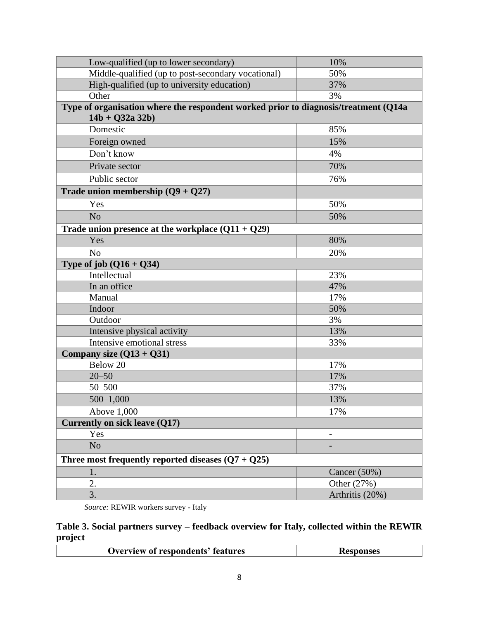| Low-qualified (up to lower secondary)                                               | 10%             |  |  |  |  |  |  |  |
|-------------------------------------------------------------------------------------|-----------------|--|--|--|--|--|--|--|
| Middle-qualified (up to post-secondary vocational)                                  | 50%             |  |  |  |  |  |  |  |
| High-qualified (up to university education)                                         | 37%             |  |  |  |  |  |  |  |
| Other                                                                               | 3%              |  |  |  |  |  |  |  |
| Type of organisation where the respondent worked prior to diagnosis/treatment (Q14a |                 |  |  |  |  |  |  |  |
| $14b + Q32a 32b$                                                                    |                 |  |  |  |  |  |  |  |
| Domestic                                                                            | 85%             |  |  |  |  |  |  |  |
| Foreign owned                                                                       | 15%             |  |  |  |  |  |  |  |
| Don't know                                                                          | 4%              |  |  |  |  |  |  |  |
| Private sector                                                                      | 70%             |  |  |  |  |  |  |  |
| Public sector                                                                       | 76%             |  |  |  |  |  |  |  |
| Trade union membership $(Q9 + Q27)$                                                 |                 |  |  |  |  |  |  |  |
| Yes                                                                                 | 50%             |  |  |  |  |  |  |  |
| N <sub>o</sub>                                                                      | 50%             |  |  |  |  |  |  |  |
| Trade union presence at the workplace $(Q11 + Q29)$                                 |                 |  |  |  |  |  |  |  |
| Yes                                                                                 | 80%             |  |  |  |  |  |  |  |
| N <sub>o</sub>                                                                      | 20%             |  |  |  |  |  |  |  |
| Type of job $(Q16 + Q34)$                                                           |                 |  |  |  |  |  |  |  |
| Intellectual                                                                        | 23%             |  |  |  |  |  |  |  |
| In an office                                                                        | 47%             |  |  |  |  |  |  |  |
| Manual                                                                              | 17%             |  |  |  |  |  |  |  |
| Indoor                                                                              | 50%             |  |  |  |  |  |  |  |
| Outdoor                                                                             | 3%              |  |  |  |  |  |  |  |
| Intensive physical activity                                                         | 13%             |  |  |  |  |  |  |  |
| Intensive emotional stress                                                          | 33%             |  |  |  |  |  |  |  |
| Company size $(Q13 + Q31)$                                                          |                 |  |  |  |  |  |  |  |
| Below 20                                                                            | 17%             |  |  |  |  |  |  |  |
| $20 - 50$                                                                           | 17%             |  |  |  |  |  |  |  |
| $50 - 500$                                                                          | 37%             |  |  |  |  |  |  |  |
| $500 - 1,000$                                                                       | 13%             |  |  |  |  |  |  |  |
| Above 1,000                                                                         | 17%             |  |  |  |  |  |  |  |
| Currently on sick leave (Q17)                                                       |                 |  |  |  |  |  |  |  |
| Yes                                                                                 |                 |  |  |  |  |  |  |  |
| N <sub>o</sub>                                                                      |                 |  |  |  |  |  |  |  |
| Three most frequently reported diseases $(Q7 + Q25)$                                |                 |  |  |  |  |  |  |  |
| 1.                                                                                  | Cancer (50%)    |  |  |  |  |  |  |  |
| 2.                                                                                  | Other (27%)     |  |  |  |  |  |  |  |
| $\overline{3}$ .                                                                    | Arthritis (20%) |  |  |  |  |  |  |  |

*Source:* REWIR workers survey - Italy

**Table 3. Social partners survey – feedback overview for Italy, collected within the REWIR project**

| <b>Overview of respondents' features</b> | Kesponses |
|------------------------------------------|-----------|
|                                          |           |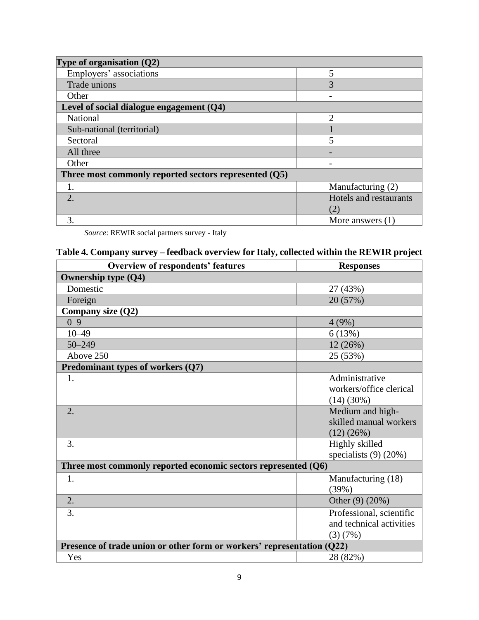| Type of organisation $(Q2)$                           |                        |
|-------------------------------------------------------|------------------------|
| Employers' associations                               | 5                      |
| Trade unions                                          | 3                      |
| Other                                                 |                        |
| Level of social dialogue engagement $(Q4)$            |                        |
| <b>National</b>                                       | $\mathfrak{D}$         |
| Sub-national (territorial)                            |                        |
| Sectoral                                              | 5                      |
| All three                                             |                        |
| Other                                                 |                        |
| Three most commonly reported sectors represented (Q5) |                        |
| 1.                                                    | Manufacturing (2)      |
| $\overline{2}$ .                                      | Hotels and restaurants |
|                                                       | (2)                    |
| 3.                                                    | More answers $(1)$     |

*Source*: REWIR social partners survey - Italy

# **Table 4. Company survey – feedback overview for Italy, collected within the REWIR project**

| <b>Overview of respondents' features</b>                               | <b>Responses</b>           |
|------------------------------------------------------------------------|----------------------------|
| <b>Ownership type (Q4)</b>                                             |                            |
| Domestic                                                               | 27 (43%)                   |
| Foreign                                                                | 20 (57%)                   |
| Company size (Q2)                                                      |                            |
| $0 - 9$                                                                | 4(9%)                      |
| $10 - 49$                                                              | 6(13%)                     |
| $50 - 249$                                                             | 12 (26%)                   |
| Above 250                                                              | 25 (53%)                   |
| Predominant types of workers (Q7)                                      |                            |
| 1.                                                                     | Administrative             |
|                                                                        | workers/office clerical    |
|                                                                        | $(14)(30\%)$               |
| 2.                                                                     | Medium and high-           |
|                                                                        | skilled manual workers     |
|                                                                        | (12)(26%)                  |
| 3.                                                                     | Highly skilled             |
|                                                                        | specialists $(9)$ $(20\%)$ |
| Three most commonly reported economic sectors represented (Q6)         |                            |
| 1.                                                                     | Manufacturing (18)         |
|                                                                        | (39%)                      |
| 2.                                                                     | Other $(9)$ $(20%)$        |
| 3.                                                                     | Professional, scientific   |
|                                                                        | and technical activities   |
|                                                                        | (3)(7%)                    |
| Presence of trade union or other form or workers' representation (Q22) |                            |
| Yes                                                                    | 28 (82%)                   |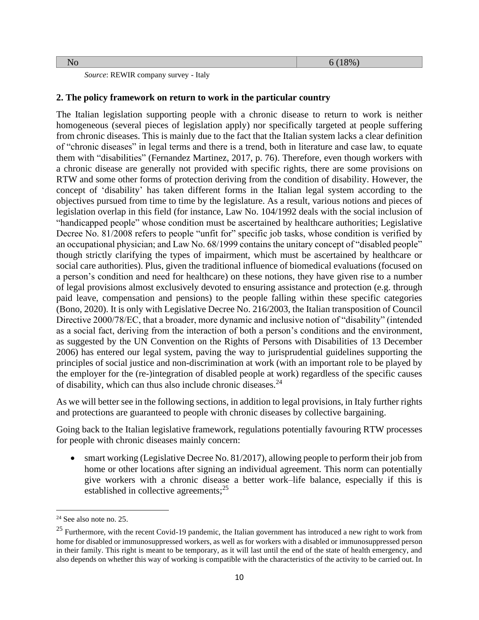×

*Source*: REWIR company survey - Italy

#### <span id="page-9-0"></span>**2. The policy framework on return to work in the particular country**

The Italian legislation supporting people with a chronic disease to return to work is neither homogeneous (several pieces of legislation apply) nor specifically targeted at people suffering from chronic diseases. This is mainly due to the fact that the Italian system lacks a clear definition of "chronic diseases" in legal terms and there is a trend, both in literature and case law, to equate them with "disabilities" (Fernandez Martinez, 2017, p. 76). Therefore, even though workers with a chronic disease are generally not provided with specific rights, there are some provisions on RTW and some other forms of protection deriving from the condition of disability. However, the concept of 'disability' has taken different forms in the Italian legal system according to the objectives pursued from time to time by the legislature. As a result, various notions and pieces of legislation overlap in this field (for instance, Law No. 104/1992 deals with the social inclusion of "handicapped people" whose condition must be ascertained by healthcare authorities; Legislative Decree No. 81/2008 refers to people "unfit for" specific job tasks, whose condition is verified by an occupational physician; and Law No. 68/1999 contains the unitary concept of "disabled people" though strictly clarifying the types of impairment, which must be ascertained by healthcare or social care authorities). Plus, given the traditional influence of biomedical evaluations (focused on a person's condition and need for healthcare) on these notions, they have given rise to a number of legal provisions almost exclusively devoted to ensuring assistance and protection (e.g. through paid leave, compensation and pensions) to the people falling within these specific categories (Bono, 2020). It is only with Legislative Decree No. 216/2003, the Italian transposition of Council Directive 2000/78/EC, that a broader, more dynamic and inclusive notion of "disability" (intended as a social fact, deriving from the interaction of both a person's conditions and the environment, as suggested by the UN Convention on the Rights of Persons with Disabilities of 13 December 2006) has entered our legal system, paving the way to jurisprudential guidelines supporting the principles of social justice and non-discrimination at work (with an important role to be played by the employer for the (re-)integration of disabled people at work) regardless of the specific causes of disability, which can thus also include chronic diseases.<sup>24</sup>

As we will better see in the following sections, in addition to legal provisions, in Italy further rights and protections are guaranteed to people with chronic diseases by collective bargaining.

Going back to the Italian legislative framework, regulations potentially favouring RTW processes for people with chronic diseases mainly concern:

• smart working (Legislative Decree No. 81/2017), allowing people to perform their job from home or other locations after signing an individual agreement. This norm can potentially give workers with a chronic disease a better work–life balance, especially if this is established in collective agreements;<sup>25</sup>

 $24$  See also note no. 25.

<sup>&</sup>lt;sup>25</sup> Furthermore, with the recent Covid-19 pandemic, the Italian government has introduced a new right to work from home for disabled or immunosuppressed workers, as well as for workers with a disabled or immunosuppressed person in their family. This right is meant to be temporary, as it will last until the end of the state of health emergency, and also depends on whether this way of working is compatible with the characteristics of the activity to be carried out. In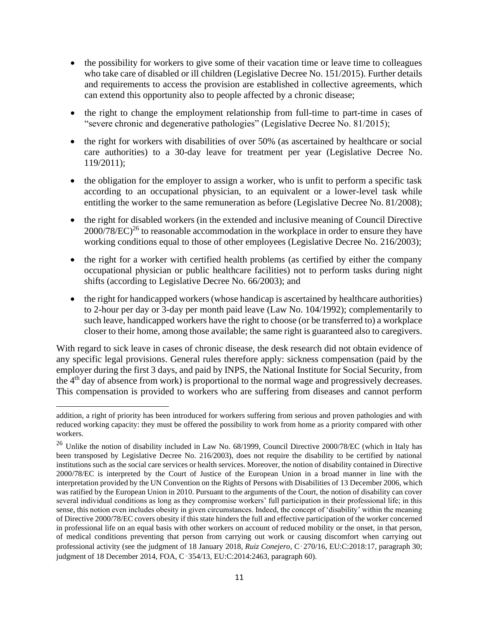- the possibility for workers to give some of their vacation time or leave time to colleagues who take care of disabled or ill children (Legislative Decree No. 151/2015). Further details and requirements to access the provision are established in collective agreements, which can extend this opportunity also to people affected by a chronic disease;
- the right to change the employment relationship from full-time to part-time in cases of "severe chronic and degenerative pathologies" (Legislative Decree No. 81/2015);
- the right for workers with disabilities of over 50% (as ascertained by healthcare or social care authorities) to a 30-day leave for treatment per year (Legislative Decree No. 119/2011);
- the obligation for the employer to assign a worker, who is unfit to perform a specific task according to an occupational physician, to an equivalent or a lower-level task while entitling the worker to the same remuneration as before (Legislative Decree No. 81/2008);
- the right for disabled workers (in the extended and inclusive meaning of Council Directive  $2000/78/EC$ <sup>26</sup> to reasonable accommodation in the workplace in order to ensure they have working conditions equal to those of other employees (Legislative Decree No. 216/2003);
- the right for a worker with certified health problems (as certified by either the company occupational physician or public healthcare facilities) not to perform tasks during night shifts (according to Legislative Decree No. 66/2003); and
- the right for handicapped workers (whose handicap is ascertained by healthcare authorities) to 2-hour per day or 3-day per month paid leave (Law No. 104/1992); complementarily to such leave, handicapped workers have the right to choose (or be transferred to) a workplace closer to their home, among those available; the same right is guaranteed also to caregivers.

With regard to sick leave in cases of chronic disease, the desk research did not obtain evidence of any specific legal provisions. General rules therefore apply: sickness compensation (paid by the employer during the first 3 days, and paid by INPS, the National Institute for Social Security, from the 4<sup>th</sup> day of absence from work) is proportional to the normal wage and progressively decreases. This compensation is provided to workers who are suffering from diseases and cannot perform

addition, a right of priority has been introduced for workers suffering from serious and proven pathologies and with reduced working capacity: they must be offered the possibility to work from home as a priority compared with other workers.

<sup>&</sup>lt;sup>26</sup> Unlike the notion of disability included in Law No. 68/1999, Council Directive 2000/78/EC (which in Italy has been transposed by Legislative Decree No. 216/2003), does not require the disability to be certified by national institutions such as the social care services or health services. Moreover, the notion of disability contained in Directive 2000/78/EC is interpreted by the Court of Justice of the European Union in a broad manner in line with the interpretation provided by the UN Convention on the Rights of Persons with Disabilities of 13 December 2006, which was ratified by the European Union in 2010. Pursuant to the arguments of the Court, the notion of disability can cover several individual conditions as long as they compromise workers' full participation in their professional life; in this sense, this notion even includes obesity in given circumstances. Indeed, the concept of 'disability' within the meaning of Directive 2000/78/EC covers obesity if this state hinders the full and effective participation of the worker concerned in professional life on an equal basis with other workers on account of reduced mobility or the onset, in that person, of medical conditions preventing that person from carrying out work or causing discomfort when carrying out professional activity (see the judgment of 18 January 2018, *Ruiz Conejero*, C‑270/16, EU:C:2018:17, paragraph 30; judgment of 18 December 2014, FOA, C‑354/13, EU:C:2014:2463, paragraph 60).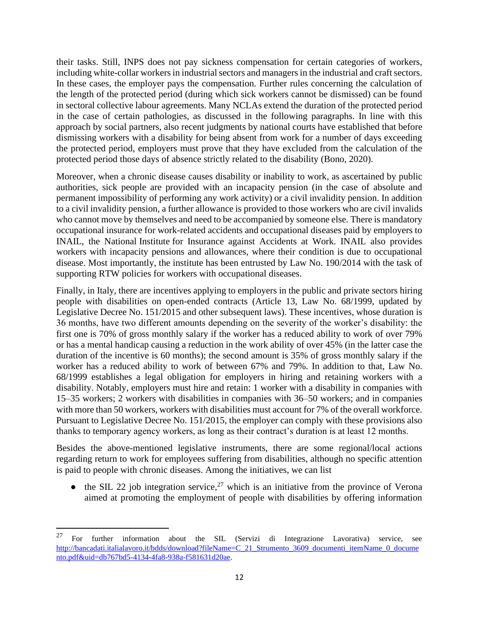their tasks. Still, INPS does not pay sickness compensation for certain categories of workers, including white-collar workers in industrial sectors and managers in the industrial and craft sectors. In these cases, the employer pays the compensation. Further rules concerning the calculation of the length of the protected period (during which sick workers cannot be dismissed) can be found in sectoral collective labour agreements. Many NCLAs extend the duration of the protected period in the case of certain pathologies, as discussed in the following paragraphs. In line with this approach by social partners, also recent judgments by national courts have established that before dismissing workers with a disability for being absent from work for a number of days exceeding the protected period, employers must prove that they have excluded from the calculation of the protected period those days of absence strictly related to the disability (Bono, 2020).

Moreover, when a chronic disease causes disability or inability to work, as ascertained by public authorities, sick people are provided with an incapacity pension (in the case of absolute and permanent impossibility of performing any work activity) or a civil invalidity pension. In addition to a civil invalidity pension, a further allowance is provided to those workers who are civil invalids who cannot move by themselves and need to be accompanied by someone else. There is mandatory occupational insurance for work-related accidents and occupational diseases paid by employers to INAIL, the National Institute for Insurance against Accidents at Work. INAIL also provides workers with incapacity pensions and allowances, where their condition is due to occupational disease. Most importantly, the institute has been entrusted by Law No. 190/2014 with the task of supporting RTW policies for workers with occupational diseases.

Finally, in Italy, there are incentives applying to employers in the public and private sectors hiring people with disabilities on open-ended contracts (Article 13, Law No. 68/1999, updated by Legislative Decree No. 151/2015 and other subsequent laws). These incentives, whose duration is 36 months, have two different amounts depending on the severity of the worker's disability: the first one is 70% of gross monthly salary if the worker has a reduced ability to work of over 79% or has a mental handicap causing a reduction in the work ability of over 45% (in the latter case the duration of the incentive is 60 months); the second amount is 35% of gross monthly salary if the worker has a reduced ability to work of between 67% and 79%. In addition to that, Law No. 68/1999 establishes a legal obligation for employers in hiring and retaining workers with a disability. Notably, employers must hire and retain: 1 worker with a disability in companies with 15–35 workers; 2 workers with disabilities in companies with 36–50 workers; and in companies with more than 50 workers, workers with disabilities must account for 7% of the overall workforce. Pursuant to Legislative Decree No. 151/2015, the employer can comply with these provisions also thanks to temporary agency workers, as long as their contract's duration is at least 12 months.

Besides the above-mentioned legislative instruments, there are some regional/local actions regarding return to work for employees suffering from disabilities, although no specific attention is paid to people with chronic diseases. Among the initiatives, we can list

 $\bullet$  the SIL 22 job integration service,<sup>27</sup> which is an initiative from the province of Verona aimed at promoting the employment of people with disabilities by offering information

<sup>&</sup>lt;sup>27</sup> For further information about the SIL (Servizi di Integrazione Lavorativa) service, see http://bancadati.jtalialavoro.it/bdds/download?fileName=C\_21\_Strumento\_3609\_documenti\_itemName\_0\_docume [nto.pdf&uid=db767bd5-4134-4fa8-938a-f581631d20ae.](http://bancadati.italialavoro.it/bdds/download?fileName=C_21_Strumento_3609_documenti_itemName_0_documento.pdf&uid=db767bd5-4134-4fa8-938a-f581631d20ae)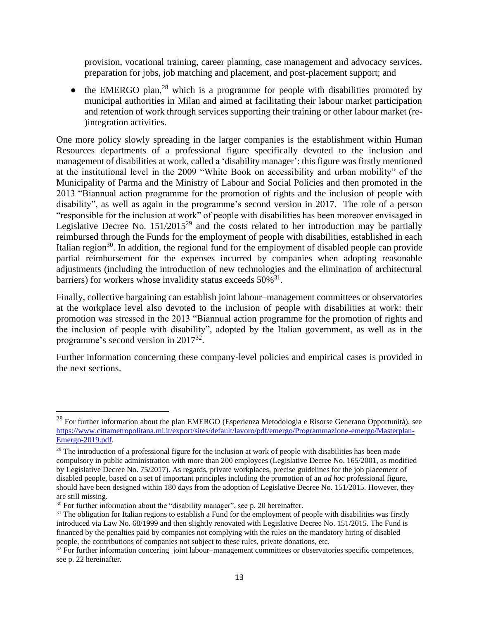provision, vocational training, career planning, case management and advocacy services, preparation for jobs, job matching and placement, and post-placement support; and

• the EMERGO plan,<sup>28</sup> which is a programme for people with disabilities promoted by municipal authorities in Milan and aimed at facilitating their labour market participation and retention of work through services supporting their training or other labour market (re- )integration activities.

One more policy slowly spreading in the larger companies is the establishment within Human Resources departments of a professional figure specifically devoted to the inclusion and management of disabilities at work, called a 'disability manager': this figure was firstly mentioned at the institutional level in the 2009 "White Book on accessibility and urban mobility" of the Municipality of Parma and the Ministry of Labour and Social Policies and then promoted in the 2013 "Biannual action programme for the promotion of rights and the inclusion of people with disability", as well as again in the programme's second version in 2017. The role of a person "responsible for the inclusion at work" of people with disabilities has been moreover envisaged in Legislative Decree No.  $151/2015^{29}$  and the costs related to her introduction may be partially reimbursed through the Funds for the employment of people with disabilities, established in each Italian region<sup>30</sup>. In addition, the regional fund for the employment of disabled people can provide partial reimbursement for the expenses incurred by companies when adopting reasonable adjustments (including the introduction of new technologies and the elimination of architectural barriers) for workers whose invalidity status exceeds  $50\%$ <sup>31</sup>.

Finally, collective bargaining can establish joint labour–management committees or observatories at the workplace level also devoted to the inclusion of people with disabilities at work: their promotion was stressed in the 2013 "Biannual action programme for the promotion of rights and the inclusion of people with disability", adopted by the Italian government, as well as in the programme's second version in 2017<sup>32</sup>.

Further information concerning these company-level policies and empirical cases is provided in the next sections.

<sup>&</sup>lt;sup>28</sup> For further information about the plan EMERGO (Esperienza Metodologia e Risorse Generano Opportunità), see [https://www.cittametropolitana.mi.it/export/sites/default/lavoro/pdf/emergo/Programmazione-emergo/Masterplan-](https://www.cittametropolitana.mi.it/export/sites/default/lavoro/pdf/emergo/Programmazione-emergo/Masterplan-Emergo-2019.pdf)[Emergo-2019.pdf.](https://www.cittametropolitana.mi.it/export/sites/default/lavoro/pdf/emergo/Programmazione-emergo/Masterplan-Emergo-2019.pdf)

 $29$  The introduction of a professional figure for the inclusion at work of people with disabilities has been made compulsory in public administration with more than 200 employees (Legislative Decree No. 165/2001, as modified by Legislative Decree No. 75/2017). As regards, private workplaces, precise guidelines for the job placement of disabled people, based on a set of important principles including the promotion of an *ad hoc* professional figure, should have been designed within 180 days from the adoption of Legislative Decree No. 151/2015. However, they are still missing.

 $30$  For further information about the "disability manager", see p. 20 hereinafter.

 $31$  The obligation for Italian regions to establish a Fund for the employment of people with disabilities was firstly introduced via Law No. 68/1999 and then slightly renovated with Legislative Decree No. 151/2015. The Fund is financed by the penalties paid by companies not complying with the rules on the mandatory hiring of disabled people, the contributions of companies not subject to these rules, private donations, etc.

 $32$  For further information concering joint labour–management committees or observatories specific competences, see p. 22 hereinafter.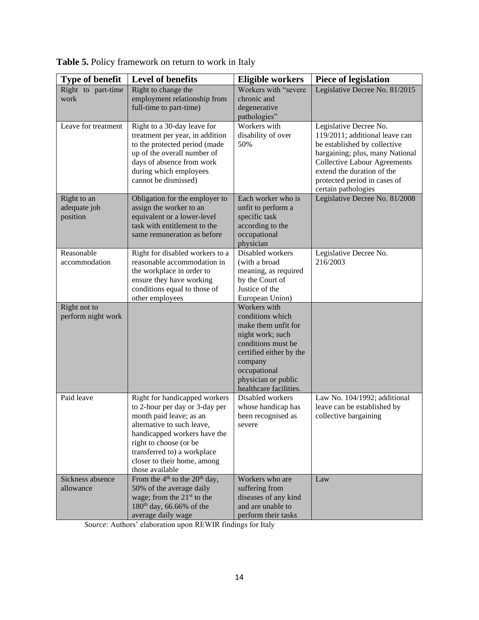| <b>Type of benefit</b>                  | <b>Level of benefits</b>                                                                                                                                                                                                                                            | <b>Eligible workers</b>                                                                                                                                                                                  | <b>Piece of legislation</b>                                                                                                                                                                                                                             |
|-----------------------------------------|---------------------------------------------------------------------------------------------------------------------------------------------------------------------------------------------------------------------------------------------------------------------|----------------------------------------------------------------------------------------------------------------------------------------------------------------------------------------------------------|---------------------------------------------------------------------------------------------------------------------------------------------------------------------------------------------------------------------------------------------------------|
| Right to part-time<br>work              | Right to change the<br>employment relationship from<br>full-time to part-time)                                                                                                                                                                                      | Workers with "severe<br>chronic and<br>degenerative<br>pathologies"                                                                                                                                      | Legislative Decree No. 81/2015                                                                                                                                                                                                                          |
| Leave for treatment                     | Right to a 30-day leave for<br>treatment per year, in addition<br>to the protected period (made<br>up of the overall number of<br>days of absence from work<br>during which employees<br>cannot be dismissed)                                                       | Workers with<br>disability of over<br>50%                                                                                                                                                                | Legislative Decree No.<br>119/2011; additional leave can<br>be established by collective<br>bargaining; plus, many National<br><b>Collective Labour Agreements</b><br>extend the duration of the<br>protected period in cases of<br>certain pathologies |
| Right to an<br>adequate job<br>position | Obligation for the employer to<br>assign the worker to an<br>equivalent or a lower-level<br>task with entitlement to the<br>same remuneration as before                                                                                                             | Each worker who is<br>unfit to perform a<br>specific task<br>according to the<br>occupational<br>physician                                                                                               | Legislative Decree No. 81/2008                                                                                                                                                                                                                          |
| Reasonable<br>accommodation             | Right for disabled workers to a<br>reasonable accommodation in<br>the workplace in order to<br>ensure they have working<br>conditions equal to those of<br>other employees                                                                                          | Disabled workers<br>(with a broad<br>meaning, as required<br>by the Court of<br>Justice of the<br>European Union)                                                                                        | Legislative Decree No.<br>216/2003                                                                                                                                                                                                                      |
| Right not to<br>perform night work      |                                                                                                                                                                                                                                                                     | Workers with<br>conditions which<br>make them unfit for<br>night work; such<br>conditions must be<br>certified either by the<br>company<br>occupational<br>physician or public<br>healthcare facilities. |                                                                                                                                                                                                                                                         |
| Paid leave                              | Right for handicapped workers<br>to 2-hour per day or 3-day per<br>month paid leave; as an<br>alternative to such leave,<br>handicapped workers have the<br>right to choose (or be<br>transferred to) a workplace<br>closer to their home, among<br>those available | Disabled workers<br>whose handicap has<br>been recognised as<br>severe                                                                                                                                   | Law No. 104/1992; additional<br>leave can be established by<br>collective bargaining                                                                                                                                                                    |
| Sickness absence<br>allowance           | From the $4th$ to the $20th$ day,<br>50% of the average daily<br>wage; from the $21st$ to the<br>$180^{th}$ day, 66.66% of the<br>average daily wage                                                                                                                | Workers who are<br>suffering from<br>diseases of any kind<br>and are unable to<br>perform their tasks                                                                                                    | Law                                                                                                                                                                                                                                                     |

| Table 5. Policy framework on return to work in Italy |  |  |  |  |
|------------------------------------------------------|--|--|--|--|
|------------------------------------------------------|--|--|--|--|

*Source*: Authors' elaboration upon REWIR findings for Italy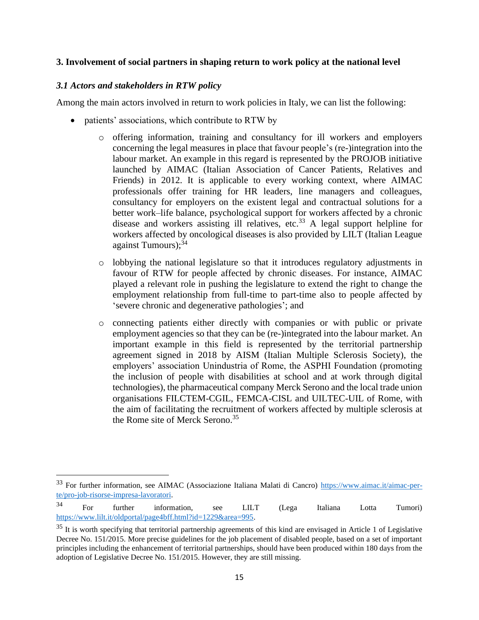#### <span id="page-14-0"></span>**3. Involvement of social partners in shaping return to work policy at the national level**

#### <span id="page-14-1"></span>*3.1 Actors and stakeholders in RTW policy*

Among the main actors involved in return to work policies in Italy, we can list the following:

- patients' associations, which contribute to RTW by
	- o offering information, training and consultancy for ill workers and employers concerning the legal measures in place that favour people's (re-)integration into the labour market. An example in this regard is represented by the PROJOB initiative launched by AIMAC (Italian Association of Cancer Patients, Relatives and Friends) in 2012. It is applicable to every working context, where AIMAC professionals offer training for HR leaders, line managers and colleagues, consultancy for employers on the existent legal and contractual solutions for a better work–life balance, psychological support for workers affected by a chronic disease and workers assisting ill relatives, etc.<sup>33</sup> A legal support helpline for workers affected by oncological diseases is also provided by LILT (Italian League against Tumours); 34
	- o lobbying the national legislature so that it introduces regulatory adjustments in favour of RTW for people affected by chronic diseases. For instance, AIMAC played a relevant role in pushing the legislature to extend the right to change the employment relationship from full-time to part-time also to people affected by 'severe chronic and degenerative pathologies'; and
	- o connecting patients either directly with companies or with public or private employment agencies so that they can be (re-)integrated into the labour market. An important example in this field is represented by the territorial partnership agreement signed in 2018 by AISM (Italian Multiple Sclerosis Society), the employers' association Unindustria of Rome, the ASPHI Foundation (promoting the inclusion of people with disabilities at school and at work through digital technologies), the pharmaceutical company Merck Serono and the local trade union organisations FILCTEM-CGIL, FEMCA-CISL and UILTEC-UIL of Rome, with the aim of facilitating the recruitment of workers affected by multiple sclerosis at the Rome site of Merck Serono. 35

<sup>33</sup> For further information, see AIMAC (Associazione Italiana Malati di Cancro) [https://www.aimac.it/aimac-per](https://www.aimac.it/aimac-per-te/pro-job-risorse-impresa-lavoratori)[te/pro-job-risorse-impresa-lavoratori.](https://www.aimac.it/aimac-per-te/pro-job-risorse-impresa-lavoratori)

<sup>&</sup>lt;sup>34</sup> For further information, see LILT (Lega Italiana Lotta Tumori) [https://www.lilt.it/oldportal/page4bff.html?id=1229&area=995.](https://www.lilt.it/oldportal/page4bff.html?id=1229&area=995)

 $35$  It is worth specifying that territorial partnership agreements of this kind are envisaged in Article 1 of Legislative Decree No. 151/2015. More precise guidelines for the job placement of disabled people, based on a set of important principles including the enhancement of territorial partnerships, should have been produced within 180 days from the adoption of Legislative Decree No. 151/2015. However, they are still missing.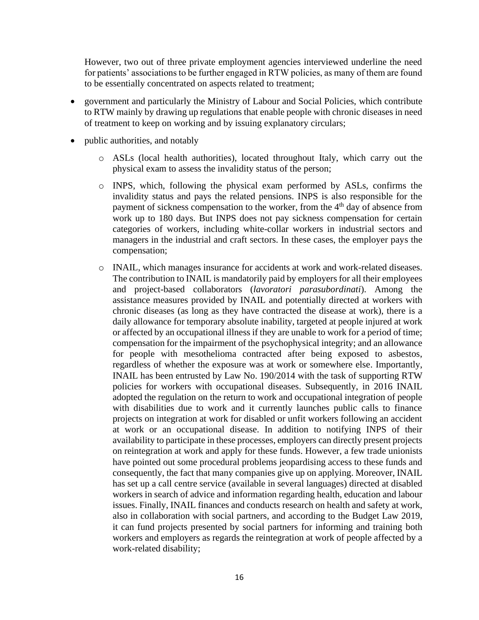However, two out of three private employment agencies interviewed underline the need for patients' associations to be further engaged in RTW policies, as many of them are found to be essentially concentrated on aspects related to treatment;

- government and particularly the Ministry of Labour and Social Policies, which contribute to RTW mainly by drawing up regulations that enable people with chronic diseases in need of treatment to keep on working and by issuing explanatory circulars;
- public authorities, and notably
	- o ASLs (local health authorities), located throughout Italy, which carry out the physical exam to assess the invalidity status of the person;
	- o INPS, which, following the physical exam performed by ASLs, confirms the invalidity status and pays the related pensions. INPS is also responsible for the payment of sickness compensation to the worker, from the  $4<sup>th</sup>$  day of absence from work up to 180 days. But INPS does not pay sickness compensation for certain categories of workers, including white-collar workers in industrial sectors and managers in the industrial and craft sectors. In these cases, the employer pays the compensation;
	- o INAIL, which manages insurance for accidents at work and work-related diseases. The contribution to INAIL is mandatorily paid by employers for all their employees and project-based collaborators (*lavoratori parasubordinati*). Among the assistance measures provided by INAIL and potentially directed at workers with chronic diseases (as long as they have contracted the disease at work), there is a daily allowance for temporary absolute inability, targeted at people injured at work or affected by an occupational illness if they are unable to work for a period of time; compensation for the impairment of the psychophysical integrity; and an allowance for people with mesothelioma contracted after being exposed to asbestos, regardless of whether the exposure was at work or somewhere else. Importantly, INAIL has been entrusted by Law No. 190/2014 with the task of supporting RTW policies for workers with occupational diseases. Subsequently, in 2016 INAIL adopted the regulation on the return to work and occupational integration of people with disabilities due to work and it currently launches public calls to finance projects on integration at work for disabled or unfit workers following an accident at work or an occupational disease. In addition to notifying INPS of their availability to participate in these processes, employers can directly present projects on reintegration at work and apply for these funds. However, a few trade unionists have pointed out some procedural problems jeopardising access to these funds and consequently, the fact that many companies give up on applying. Moreover, INAIL has set up a call centre service (available in several languages) directed at disabled workers in search of advice and information regarding health, education and labour issues. Finally, INAIL finances and conducts research on health and safety at work, also in collaboration with social partners, and according to the Budget Law 2019, it can fund projects presented by social partners for informing and training both workers and employers as regards the reintegration at work of people affected by a work-related disability;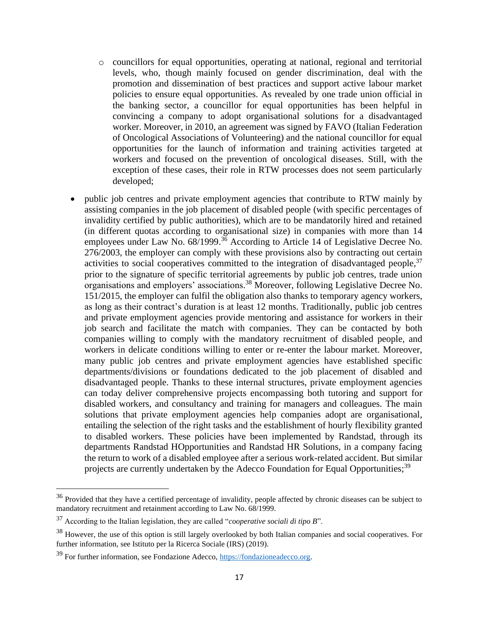- o councillors for equal opportunities, operating at national, regional and territorial levels, who, though mainly focused on gender discrimination, deal with the promotion and dissemination of best practices and support active labour market policies to ensure equal opportunities. As revealed by one trade union official in the banking sector, a councillor for equal opportunities has been helpful in convincing a company to adopt organisational solutions for a disadvantaged worker. Moreover, in 2010, an agreement was signed by FAVO (Italian Federation of Oncological Associations of Volunteering) and the national councillor for equal opportunities for the launch of information and training activities targeted at workers and focused on the prevention of oncological diseases. Still, with the exception of these cases, their role in RTW processes does not seem particularly developed;
- public job centres and private employment agencies that contribute to RTW mainly by assisting companies in the job placement of disabled people (with specific percentages of invalidity certified by public authorities), which are to be mandatorily hired and retained (in different quotas according to organisational size) in companies with more than 14 employees under Law No.  $68/1999$ .<sup>36</sup> According to Article 14 of Legislative Decree No. 276/2003, the employer can comply with these provisions also by contracting out certain activities to social cooperatives committed to the integration of disadvantaged people,<sup>37</sup> prior to the signature of specific territorial agreements by public job centres, trade union organisations and employers' associations. <sup>38</sup> Moreover, following Legislative Decree No. 151/2015, the employer can fulfil the obligation also thanks to temporary agency workers, as long as their contract's duration is at least 12 months. Traditionally, public job centres and private employment agencies provide mentoring and assistance for workers in their job search and facilitate the match with companies. They can be contacted by both companies willing to comply with the mandatory recruitment of disabled people, and workers in delicate conditions willing to enter or re-enter the labour market. Moreover, many public job centres and private employment agencies have established specific departments/divisions or foundations dedicated to the job placement of disabled and disadvantaged people. Thanks to these internal structures, private employment agencies can today deliver comprehensive projects encompassing both tutoring and support for disabled workers, and consultancy and training for managers and colleagues. The main solutions that private employment agencies help companies adopt are organisational, entailing the selection of the right tasks and the establishment of hourly flexibility granted to disabled workers. These policies have been implemented by Randstad, through its departments Randstad HOpportunities and Randstad HR Solutions, in a company facing the return to work of a disabled employee after a serious work-related accident. But similar projects are currently undertaken by the Adecco Foundation for Equal Opportunities;<sup>39</sup>

<sup>&</sup>lt;sup>36</sup> Provided that they have a certified percentage of invalidity, people affected by chronic diseases can be subject to mandatory recruitment and retainment according to Law No. 68/1999.

<sup>37</sup> According to the Italian legislation, they are called "*cooperative sociali di tipo B*".

<sup>&</sup>lt;sup>38</sup> However, the use of this option is still largely overlooked by both Italian companies and social cooperatives. For further information, see Istituto per la Ricerca Sociale (IRS) (2019).

<sup>39</sup> For further information, see Fondazione Adecco, [https://fondazioneadecco.org.](https://fondazioneadecco.org/)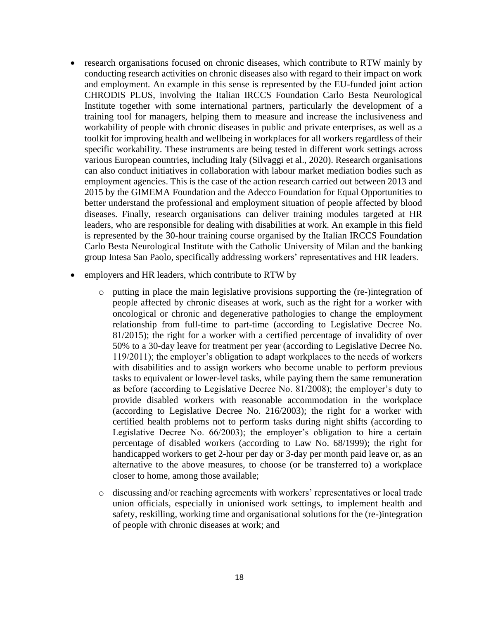- research organisations focused on chronic diseases, which contribute to RTW mainly by conducting research activities on chronic diseases also with regard to their impact on work and employment. An example in this sense is represented by the EU-funded joint action CHRODIS PLUS, involving the Italian IRCCS Foundation Carlo Besta Neurological Institute together with some international partners, particularly the development of a training tool for managers, helping them to measure and increase the inclusiveness and workability of people with chronic diseases in public and private enterprises, as well as a toolkit for improving health and wellbeing in workplaces for all workers regardless of their specific workability. These instruments are being tested in different work settings across various European countries, including Italy (Silvaggi et al., 2020). Research organisations can also conduct initiatives in collaboration with labour market mediation bodies such as employment agencies. This is the case of the action research carried out between 2013 and 2015 by the GIMEMA Foundation and the Adecco Foundation for Equal Opportunities to better understand the professional and employment situation of people affected by blood diseases. Finally, research organisations can deliver training modules targeted at HR leaders, who are responsible for dealing with disabilities at work. An example in this field is represented by the 30-hour training course organised by the Italian IRCCS Foundation Carlo Besta Neurological Institute with the Catholic University of Milan and the banking group Intesa San Paolo, specifically addressing workers' representatives and HR leaders.
- employers and HR leaders, which contribute to RTW by
	- $\circ$  putting in place the main legislative provisions supporting the (re-)integration of people affected by chronic diseases at work, such as the right for a worker with oncological or chronic and degenerative pathologies to change the employment relationship from full-time to part-time (according to Legislative Decree No. 81/2015); the right for a worker with a certified percentage of invalidity of over 50% to a 30-day leave for treatment per year (according to Legislative Decree No. 119/2011); the employer's obligation to adapt workplaces to the needs of workers with disabilities and to assign workers who become unable to perform previous tasks to equivalent or lower-level tasks, while paying them the same remuneration as before (according to Legislative Decree No. 81/2008); the employer's duty to provide disabled workers with reasonable accommodation in the workplace (according to Legislative Decree No. 216/2003); the right for a worker with certified health problems not to perform tasks during night shifts (according to Legislative Decree No. 66/2003); the employer's obligation to hire a certain percentage of disabled workers (according to Law No. 68/1999); the right for handicapped workers to get 2-hour per day or 3-day per month paid leave or, as an alternative to the above measures, to choose (or be transferred to) a workplace closer to home, among those available;
	- o discussing and/or reaching agreements with workers' representatives or local trade union officials, especially in unionised work settings, to implement health and safety, reskilling, working time and organisational solutions for the (re-)integration of people with chronic diseases at work; and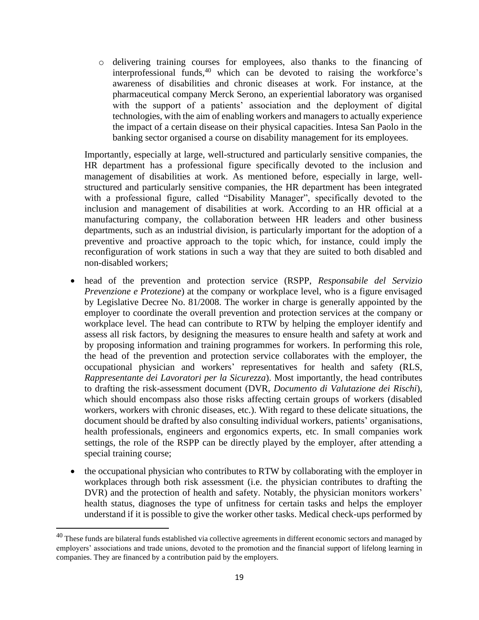o delivering training courses for employees, also thanks to the financing of interprofessional funds,  $40$  which can be devoted to raising the workforce's awareness of disabilities and chronic diseases at work. For instance, at the pharmaceutical company Merck Serono, an experiential laboratory was organised with the support of a patients' association and the deployment of digital technologies, with the aim of enabling workers and managers to actually experience the impact of a certain disease on their physical capacities. Intesa San Paolo in the banking sector organised a course on disability management for its employees.

Importantly, especially at large, well-structured and particularly sensitive companies, the HR department has a professional figure specifically devoted to the inclusion and management of disabilities at work. As mentioned before, especially in large, wellstructured and particularly sensitive companies, the HR department has been integrated with a professional figure, called "Disability Manager", specifically devoted to the inclusion and management of disabilities at work. According to an HR official at a manufacturing company, the collaboration between HR leaders and other business departments, such as an industrial division, is particularly important for the adoption of a preventive and proactive approach to the topic which, for instance, could imply the reconfiguration of work stations in such a way that they are suited to both disabled and non-disabled workers;

- head of the prevention and protection service (RSPP, *Responsabile del Servizio Prevenzione e Protezione*) at the company or workplace level, who is a figure envisaged by Legislative Decree No. 81/2008. The worker in charge is generally appointed by the employer to coordinate the overall prevention and protection services at the company or workplace level. The head can contribute to RTW by helping the employer identify and assess all risk factors, by designing the measures to ensure health and safety at work and by proposing information and training programmes for workers. In performing this role, the head of the prevention and protection service collaborates with the employer, the occupational physician and workers' representatives for health and safety (RLS, *Rappresentante dei Lavoratori per la Sicurezza*). Most importantly, the head contributes to drafting the risk-assessment document (DVR, *Documento di Valutazione dei Rischi*), which should encompass also those risks affecting certain groups of workers (disabled workers, workers with chronic diseases, etc.). With regard to these delicate situations, the document should be drafted by also consulting individual workers, patients' organisations, health professionals, engineers and ergonomics experts, etc. In small companies work settings, the role of the RSPP can be directly played by the employer, after attending a special training course;
- the occupational physician who contributes to RTW by collaborating with the employer in workplaces through both risk assessment (i.e. the physician contributes to drafting the DVR) and the protection of health and safety. Notably, the physician monitors workers' health status, diagnoses the type of unfitness for certain tasks and helps the employer understand if it is possible to give the worker other tasks. Medical check-ups performed by

 $40$  These funds are bilateral funds established via collective agreements in different economic sectors and managed by employers' associations and trade unions, devoted to the promotion and the financial support of lifelong learning in companies. They are financed by a contribution paid by the employers.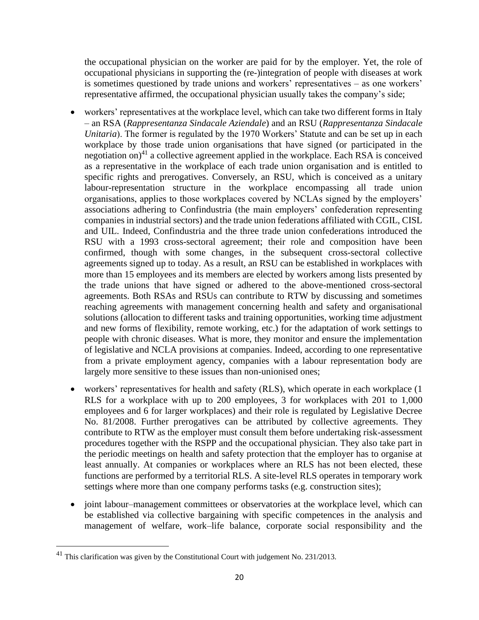the occupational physician on the worker are paid for by the employer. Yet, the role of occupational physicians in supporting the (re-)integration of people with diseases at work is sometimes questioned by trade unions and workers' representatives – as one workers' representative affirmed, the occupational physician usually takes the company's side;

- workers' representatives at the workplace level, which can take two different forms in Italy – an RSA (*Rappresentanza Sindacale Aziendale*) and an RSU (*Rappresentanza Sindacale Unitaria*). The former is regulated by the 1970 Workers' Statute and can be set up in each workplace by those trade union organisations that have signed (or participated in the negotiation on) $41$  a collective agreement applied in the workplace. Each RSA is conceived as a representative in the workplace of each trade union organisation and is entitled to specific rights and prerogatives. Conversely, an RSU, which is conceived as a unitary labour-representation structure in the workplace encompassing all trade union organisations, applies to those workplaces covered by NCLAs signed by the employers' associations adhering to Confindustria (the main employers' confederation representing companies in industrial sectors) and the trade union federations affiliated with CGIL, CISL and UIL. Indeed, Confindustria and the three trade union confederations introduced the RSU with a 1993 cross-sectoral agreement; their role and composition have been confirmed, though with some changes, in the subsequent cross-sectoral collective agreements signed up to today. As a result, an RSU can be established in workplaces with more than 15 employees and its members are elected by workers among lists presented by the trade unions that have signed or adhered to the above-mentioned cross-sectoral agreements. Both RSAs and RSUs can contribute to RTW by discussing and sometimes reaching agreements with management concerning health and safety and organisational solutions (allocation to different tasks and training opportunities, working time adjustment and new forms of flexibility, remote working, etc.) for the adaptation of work settings to people with chronic diseases. What is more, they monitor and ensure the implementation of legislative and NCLA provisions at companies. Indeed, according to one representative from a private employment agency, companies with a labour representation body are largely more sensitive to these issues than non-unionised ones;
- workers' representatives for health and safety (RLS), which operate in each workplace (1 RLS for a workplace with up to 200 employees, 3 for workplaces with 201 to 1,000 employees and 6 for larger workplaces) and their role is regulated by Legislative Decree No. 81/2008. Further prerogatives can be attributed by collective agreements. They contribute to RTW as the employer must consult them before undertaking risk-assessment procedures together with the RSPP and the occupational physician. They also take part in the periodic meetings on health and safety protection that the employer has to organise at least annually. At companies or workplaces where an RLS has not been elected, these functions are performed by a territorial RLS. A site-level RLS operates in temporary work settings where more than one company performs tasks (e.g. construction sites);
- joint labour–management committees or observatories at the workplace level, which can be established via collective bargaining with specific competences in the analysis and management of welfare, work–life balance, corporate social responsibility and the

<sup>&</sup>lt;sup>41</sup> This clarification was given by the Constitutional Court with judgement No. 231/2013.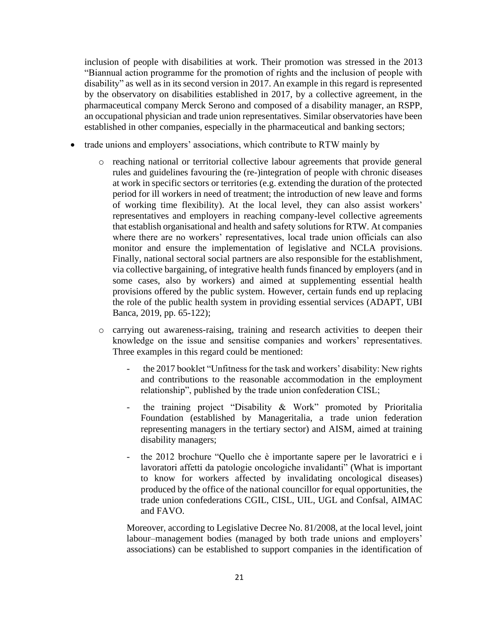inclusion of people with disabilities at work. Their promotion was stressed in the 2013 "Biannual action programme for the promotion of rights and the inclusion of people with disability" as well as in its second version in 2017. An example in this regard is represented by the observatory on disabilities established in 2017, by a collective agreement, in the pharmaceutical company Merck Serono and composed of a disability manager, an RSPP, an occupational physician and trade union representatives. Similar observatories have been established in other companies, especially in the pharmaceutical and banking sectors;

- trade unions and employers' associations, which contribute to RTW mainly by
	- o reaching national or territorial collective labour agreements that provide general rules and guidelines favouring the (re-)integration of people with chronic diseases at work in specific sectors or territories (e.g. extending the duration of the protected period for ill workers in need of treatment; the introduction of new leave and forms of working time flexibility). At the local level, they can also assist workers' representatives and employers in reaching company-level collective agreements that establish organisational and health and safety solutions for RTW. At companies where there are no workers' representatives, local trade union officials can also monitor and ensure the implementation of legislative and NCLA provisions. Finally, national sectoral social partners are also responsible for the establishment, via collective bargaining, of integrative health funds financed by employers (and in some cases, also by workers) and aimed at supplementing essential health provisions offered by the public system. However, certain funds end up replacing the role of the public health system in providing essential services (ADAPT, UBI Banca, 2019, pp. 65-122);
	- o carrying out awareness-raising, training and research activities to deepen their knowledge on the issue and sensitise companies and workers' representatives. Three examples in this regard could be mentioned:
		- the 2017 booklet "Unfitness for the task and workers' disability: New rights and contributions to the reasonable accommodation in the employment relationship", published by the trade union confederation CISL;
		- the training project "Disability & Work" promoted by Prioritalia Foundation (established by Manageritalia, a trade union federation representing managers in the tertiary sector) and AISM, aimed at training disability managers;
		- the 2012 brochure "Quello che è importante sapere per le lavoratrici e i lavoratori affetti da patologie oncologiche invalidanti" (What is important to know for workers affected by invalidating oncological diseases) produced by the office of the national councillor for equal opportunities, the trade union confederations CGIL, CISL, UIL, UGL and Confsal, AIMAC and FAVO.

Moreover, according to Legislative Decree No. 81/2008, at the local level, joint labour–management bodies (managed by both trade unions and employers' associations) can be established to support companies in the identification of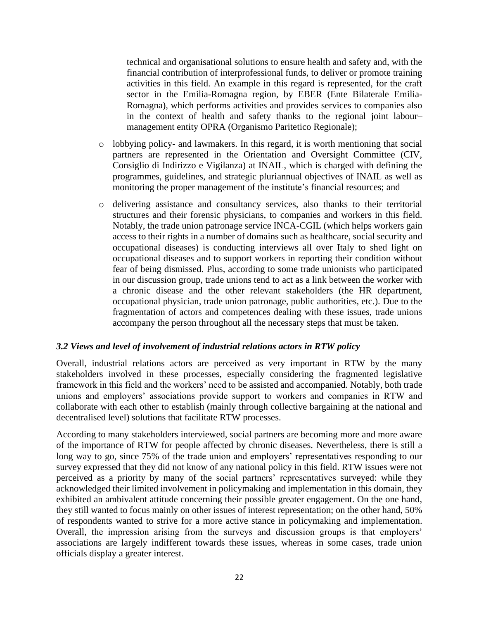technical and organisational solutions to ensure health and safety and, with the financial contribution of interprofessional funds, to deliver or promote training activities in this field. An example in this regard is represented, for the craft sector in the Emilia-Romagna region, by EBER (Ente Bilaterale Emilia-Romagna), which performs activities and provides services to companies also in the context of health and safety thanks to the regional joint labour– management entity OPRA (Organismo Paritetico Regionale);

- $\circ$  lobbying policy- and lawmakers. In this regard, it is worth mentioning that social partners are represented in the Orientation and Oversight Committee (CIV, Consiglio di Indirizzo e Vigilanza) at INAIL, which is charged with defining the programmes, guidelines, and strategic pluriannual objectives of INAIL as well as monitoring the proper management of the institute's financial resources; and
- o delivering assistance and consultancy services, also thanks to their territorial structures and their forensic physicians, to companies and workers in this field. Notably, the trade union patronage service INCA-CGIL (which helps workers gain access to their rights in a number of domains such as healthcare, social security and occupational diseases) is conducting interviews all over Italy to shed light on occupational diseases and to support workers in reporting their condition without fear of being dismissed. Plus, according to some trade unionists who participated in our discussion group, trade unions tend to act as a link between the worker with a chronic disease and the other relevant stakeholders (the HR department, occupational physician, trade union patronage, public authorities, etc.). Due to the fragmentation of actors and competences dealing with these issues, trade unions accompany the person throughout all the necessary steps that must be taken.

#### <span id="page-21-0"></span>*3.2 Views and level of involvement of industrial relations actors in RTW policy*

Overall, industrial relations actors are perceived as very important in RTW by the many stakeholders involved in these processes, especially considering the fragmented legislative framework in this field and the workers' need to be assisted and accompanied. Notably, both trade unions and employers' associations provide support to workers and companies in RTW and collaborate with each other to establish (mainly through collective bargaining at the national and decentralised level) solutions that facilitate RTW processes.

According to many stakeholders interviewed, social partners are becoming more and more aware of the importance of RTW for people affected by chronic diseases. Nevertheless, there is still a long way to go, since 75% of the trade union and employers' representatives responding to our survey expressed that they did not know of any national policy in this field. RTW issues were not perceived as a priority by many of the social partners' representatives surveyed: while they acknowledged their limited involvement in policymaking and implementation in this domain, they exhibited an ambivalent attitude concerning their possible greater engagement. On the one hand, they still wanted to focus mainly on other issues of interest representation; on the other hand, 50% of respondents wanted to strive for a more active stance in policymaking and implementation. Overall, the impression arising from the surveys and discussion groups is that employers' associations are largely indifferent towards these issues, whereas in some cases, trade union officials display a greater interest.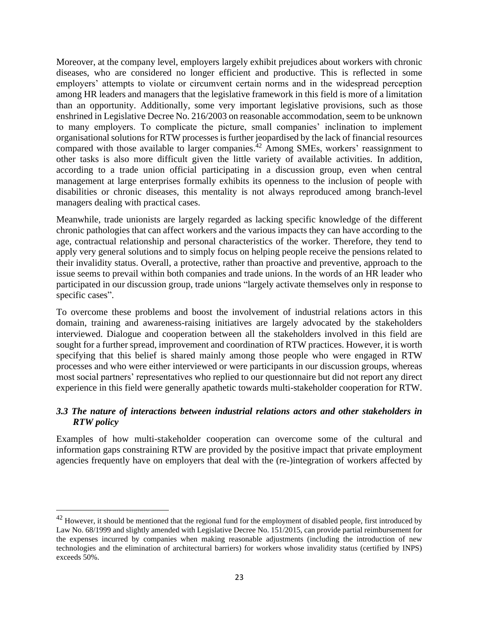Moreover, at the company level, employers largely exhibit prejudices about workers with chronic diseases, who are considered no longer efficient and productive. This is reflected in some employers' attempts to violate or circumvent certain norms and in the widespread perception among HR leaders and managers that the legislative framework in this field is more of a limitation than an opportunity. Additionally, some very important legislative provisions, such as those enshrined in Legislative Decree No. 216/2003 on reasonable accommodation, seem to be unknown to many employers. To complicate the picture, small companies' inclination to implement organisational solutions for RTW processes is further jeopardised by the lack of financial resources compared with those available to larger companies. <sup>42</sup> Among SMEs, workers' reassignment to other tasks is also more difficult given the little variety of available activities. In addition, according to a trade union official participating in a discussion group, even when central management at large enterprises formally exhibits its openness to the inclusion of people with disabilities or chronic diseases, this mentality is not always reproduced among branch-level managers dealing with practical cases.

Meanwhile, trade unionists are largely regarded as lacking specific knowledge of the different chronic pathologies that can affect workers and the various impacts they can have according to the age, contractual relationship and personal characteristics of the worker. Therefore, they tend to apply very general solutions and to simply focus on helping people receive the pensions related to their invalidity status. Overall, a protective, rather than proactive and preventive, approach to the issue seems to prevail within both companies and trade unions. In the words of an HR leader who participated in our discussion group, trade unions "largely activate themselves only in response to specific cases".

To overcome these problems and boost the involvement of industrial relations actors in this domain, training and awareness-raising initiatives are largely advocated by the stakeholders interviewed. Dialogue and cooperation between all the stakeholders involved in this field are sought for a further spread, improvement and coordination of RTW practices. However, it is worth specifying that this belief is shared mainly among those people who were engaged in RTW processes and who were either interviewed or were participants in our discussion groups, whereas most social partners' representatives who replied to our questionnaire but did not report any direct experience in this field were generally apathetic towards multi-stakeholder cooperation for RTW.

# <span id="page-22-0"></span>*3.3 The nature of interactions between industrial relations actors and other stakeholders in RTW policy*

Examples of how multi-stakeholder cooperation can overcome some of the cultural and information gaps constraining RTW are provided by the positive impact that private employment agencies frequently have on employers that deal with the (re-)integration of workers affected by

 $42$  However, it should be mentioned that the regional fund for the employment of disabled people, first introduced by Law No. 68/1999 and slightly amended with Legislative Decree No. 151/2015, can provide partial reimbursement for the expenses incurred by companies when making reasonable adjustments (including the introduction of new technologies and the elimination of architectural barriers) for workers whose invalidity status (certified by INPS) exceeds 50%.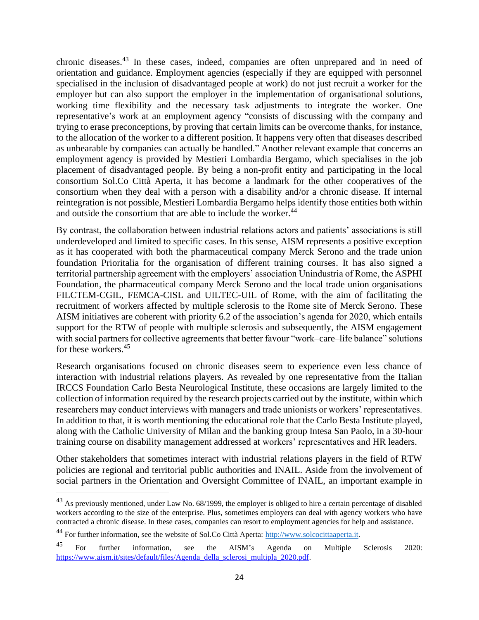chronic diseases. <sup>43</sup> In these cases, indeed, companies are often unprepared and in need of orientation and guidance. Employment agencies (especially if they are equipped with personnel specialised in the inclusion of disadvantaged people at work) do not just recruit a worker for the employer but can also support the employer in the implementation of organisational solutions, working time flexibility and the necessary task adjustments to integrate the worker. One representative's work at an employment agency "consists of discussing with the company and trying to erase preconceptions, by proving that certain limits can be overcome thanks, for instance, to the allocation of the worker to a different position. It happens very often that diseases described as unbearable by companies can actually be handled." Another relevant example that concerns an employment agency is provided by Mestieri Lombardia Bergamo, which specialises in the job placement of disadvantaged people. By being a non-profit entity and participating in the local consortium Sol.Co Città Aperta, it has become a landmark for the other cooperatives of the consortium when they deal with a person with a disability and/or a chronic disease. If internal reintegration is not possible, Mestieri Lombardia Bergamo helps identify those entities both within and outside the consortium that are able to include the worker.<sup>44</sup>

By contrast, the collaboration between industrial relations actors and patients' associations is still underdeveloped and limited to specific cases. In this sense, AISM represents a positive exception as it has cooperated with both the pharmaceutical company Merck Serono and the trade union foundation Prioritalia for the organisation of different training courses. It has also signed a territorial partnership agreement with the employers' association Unindustria of Rome, the ASPHI Foundation, the pharmaceutical company Merck Serono and the local trade union organisations FILCTEM-CGIL, FEMCA-CISL and UILTEC-UIL of Rome, with the aim of facilitating the recruitment of workers affected by multiple sclerosis to the Rome site of Merck Serono. These AISM initiatives are coherent with priority 6.2 of the association's agenda for 2020, which entails support for the RTW of people with multiple sclerosis and subsequently, the AISM engagement with social partners for collective agreements that better favour "work–care–life balance" solutions for these workers. 45

Research organisations focused on chronic diseases seem to experience even less chance of interaction with industrial relations players. As revealed by one representative from the Italian IRCCS Foundation Carlo Besta Neurological Institute, these occasions are largely limited to the collection of information required by the research projects carried out by the institute, within which researchers may conduct interviews with managers and trade unionists or workers' representatives. In addition to that, it is worth mentioning the educational role that the Carlo Besta Institute played, along with the Catholic University of Milan and the banking group Intesa San Paolo, in a 30-hour training course on disability management addressed at workers' representatives and HR leaders.

Other stakeholders that sometimes interact with industrial relations players in the field of RTW policies are regional and territorial public authorities and INAIL. Aside from the involvement of social partners in the Orientation and Oversight Committee of INAIL, an important example in

<sup>&</sup>lt;sup>43</sup> As previously mentioned, under Law No. 68/1999, the employer is obliged to hire a certain percentage of disabled workers according to the size of the enterprise. Plus, sometimes employers can deal with agency workers who have contracted a chronic disease. In these cases, companies can resort to employment agencies for help and assistance.

<sup>&</sup>lt;sup>44</sup> For further information, see the website of Sol.Co Città Aperta: [http://www.solcocittaaperta.it.](http://www.solcocittaaperta.it/)

<sup>&</sup>lt;sup>45</sup> For further information, see the AISM's Agenda on Multiple Sclerosis 2020: [https://www.aism.it/sites/default/files/Agenda\\_della\\_sclerosi\\_multipla\\_2020.pdf.](https://www.aism.it/sites/default/files/Agenda_della_sclerosi_multipla_2020.pdf)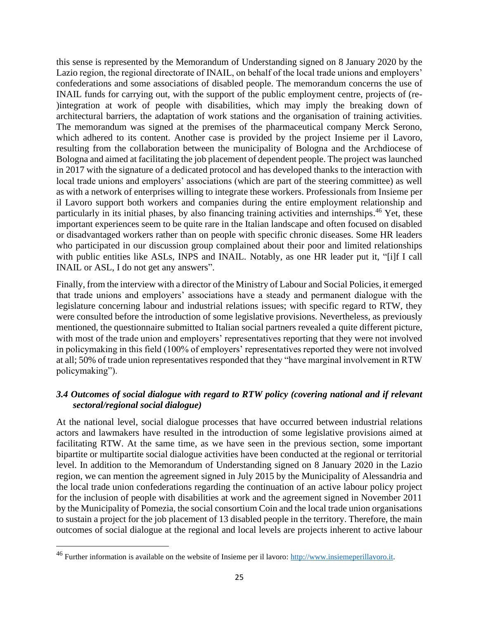this sense is represented by the Memorandum of Understanding signed on 8 January 2020 by the Lazio region, the regional directorate of INAIL, on behalf of the local trade unions and employers' confederations and some associations of disabled people. The memorandum concerns the use of INAIL funds for carrying out, with the support of the public employment centre, projects of (re- )integration at work of people with disabilities, which may imply the breaking down of architectural barriers, the adaptation of work stations and the organisation of training activities. The memorandum was signed at the premises of the pharmaceutical company Merck Serono, which adhered to its content. Another case is provided by the project Insieme per il Lavoro, resulting from the collaboration between the municipality of Bologna and the Archdiocese of Bologna and aimed at facilitating the job placement of dependent people. The project was launched in 2017 with the signature of a dedicated protocol and has developed thanks to the interaction with local trade unions and employers' associations (which are part of the steering committee) as well as with a network of enterprises willing to integrate these workers. Professionals from Insieme per il Lavoro support both workers and companies during the entire employment relationship and particularly in its initial phases, by also financing training activities and internships.<sup>46</sup> Yet, these important experiences seem to be quite rare in the Italian landscape and often focused on disabled or disadvantaged workers rather than on people with specific chronic diseases. Some HR leaders who participated in our discussion group complained about their poor and limited relationships with public entities like ASLs, INPS and INAIL. Notably, as one HR leader put it, "[i]f I call INAIL or ASL, I do not get any answers".

Finally, from the interview with a director of the Ministry of Labour and Social Policies, it emerged that trade unions and employers' associations have a steady and permanent dialogue with the legislature concerning labour and industrial relations issues; with specific regard to RTW, they were consulted before the introduction of some legislative provisions. Nevertheless, as previously mentioned, the questionnaire submitted to Italian social partners revealed a quite different picture, with most of the trade union and employers' representatives reporting that they were not involved in policymaking in this field (100% of employers' representatives reported they were not involved at all; 50% of trade union representatives responded that they "have marginal involvement in RTW policymaking").

# <span id="page-24-0"></span>*3.4 Outcomes of social dialogue with regard to RTW policy (covering national and if relevant sectoral/regional social dialogue)*

At the national level, social dialogue processes that have occurred between industrial relations actors and lawmakers have resulted in the introduction of some legislative provisions aimed at facilitating RTW. At the same time, as we have seen in the previous section, some important bipartite or multipartite social dialogue activities have been conducted at the regional or territorial level. In addition to the Memorandum of Understanding signed on 8 January 2020 in the Lazio region, we can mention the agreement signed in July 2015 by the Municipality of Alessandria and the local trade union confederations regarding the continuation of an active labour policy project for the inclusion of people with disabilities at work and the agreement signed in November 2011 by the Municipality of Pomezia, the social consortium Coin and the local trade union organisations to sustain a project for the job placement of 13 disabled people in the territory. Therefore, the main outcomes of social dialogue at the regional and local levels are projects inherent to active labour

<sup>&</sup>lt;sup>46</sup> Further information is available on the website of Insieme per il lavoro: [http://www.insiemeperillavoro.it.](http://www.insiemeperillavoro.it/)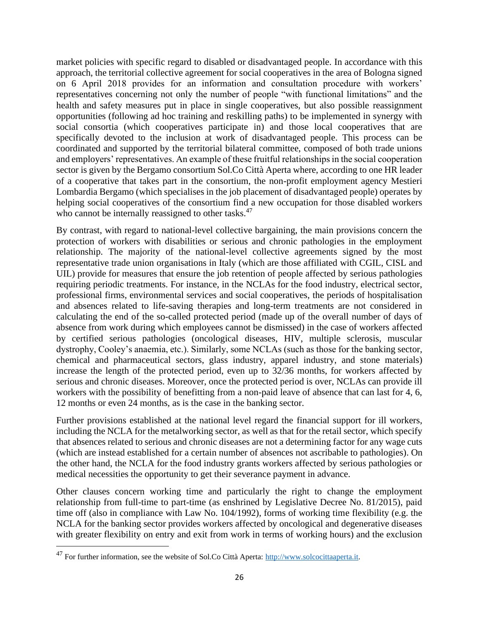market policies with specific regard to disabled or disadvantaged people. In accordance with this approach, the territorial collective agreement for social cooperatives in the area of Bologna signed on 6 April 2018 provides for an information and consultation procedure with workers' representatives concerning not only the number of people "with functional limitations" and the health and safety measures put in place in single cooperatives, but also possible reassignment opportunities (following ad hoc training and reskilling paths) to be implemented in synergy with social consortia (which cooperatives participate in) and those local cooperatives that are specifically devoted to the inclusion at work of disadvantaged people. This process can be coordinated and supported by the territorial bilateral committee, composed of both trade unions and employers' representatives. An example of these fruitful relationships in the social cooperation sector is given by the Bergamo consortium Sol.Co Città Aperta where, according to one HR leader of a cooperative that takes part in the consortium, the non-profit employment agency Mestieri Lombardia Bergamo (which specialises in the job placement of disadvantaged people) operates by helping social cooperatives of the consortium find a new occupation for those disabled workers who cannot be internally reassigned to other tasks.<sup>47</sup>

By contrast, with regard to national-level collective bargaining, the main provisions concern the protection of workers with disabilities or serious and chronic pathologies in the employment relationship. The majority of the national-level collective agreements signed by the most representative trade union organisations in Italy (which are those affiliated with CGIL, CISL and UIL) provide for measures that ensure the job retention of people affected by serious pathologies requiring periodic treatments. For instance, in the NCLAs for the food industry, electrical sector, professional firms, environmental services and social cooperatives, the periods of hospitalisation and absences related to life-saving therapies and long-term treatments are not considered in calculating the end of the so-called protected period (made up of the overall number of days of absence from work during which employees cannot be dismissed) in the case of workers affected by certified serious pathologies (oncological diseases, HIV, multiple sclerosis, muscular dystrophy, Cooley's anaemia, etc.). Similarly, some NCLAs (such as those for the banking sector, chemical and pharmaceutical sectors, glass industry, apparel industry, and stone materials) increase the length of the protected period, even up to 32/36 months, for workers affected by serious and chronic diseases. Moreover, once the protected period is over, NCLAs can provide ill workers with the possibility of benefitting from a non-paid leave of absence that can last for 4, 6, 12 months or even 24 months, as is the case in the banking sector.

Further provisions established at the national level regard the financial support for ill workers, including the NCLA for the metalworking sector, as well as that for the retail sector, which specify that absences related to serious and chronic diseases are not a determining factor for any wage cuts (which are instead established for a certain number of absences not ascribable to pathologies). On the other hand, the NCLA for the food industry grants workers affected by serious pathologies or medical necessities the opportunity to get their severance payment in advance.

Other clauses concern working time and particularly the right to change the employment relationship from full-time to part-time (as enshrined by Legislative Decree No. 81/2015), paid time off (also in compliance with Law No. 104/1992), forms of working time flexibility (e.g. the NCLA for the banking sector provides workers affected by oncological and degenerative diseases with greater flexibility on entry and exit from work in terms of working hours) and the exclusion

<sup>&</sup>lt;sup>47</sup> For further information, see the website of Sol.Co Città Aperta: [http://www.solcocittaaperta.it.](http://www.solcocittaaperta.it/)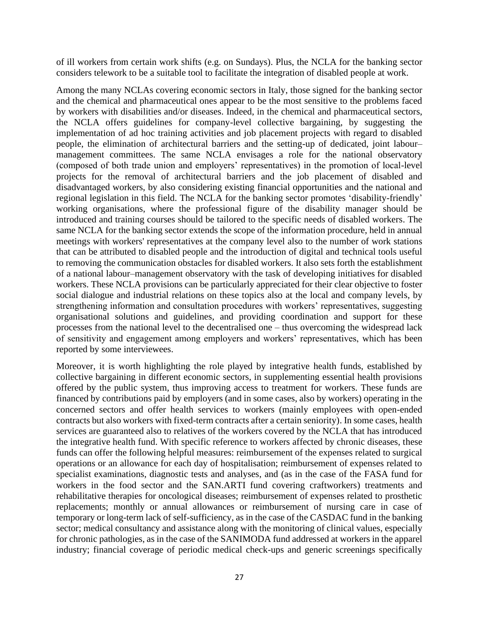of ill workers from certain work shifts (e.g. on Sundays). Plus, the NCLA for the banking sector considers telework to be a suitable tool to facilitate the integration of disabled people at work.

Among the many NCLAs covering economic sectors in Italy, those signed for the banking sector and the chemical and pharmaceutical ones appear to be the most sensitive to the problems faced by workers with disabilities and/or diseases. Indeed, in the chemical and pharmaceutical sectors, the NCLA offers guidelines for company-level collective bargaining, by suggesting the implementation of ad hoc training activities and job placement projects with regard to disabled people, the elimination of architectural barriers and the setting-up of dedicated, joint labour– management committees. The same NCLA envisages a role for the national observatory (composed of both trade union and employers' representatives) in the promotion of local-level projects for the removal of architectural barriers and the job placement of disabled and disadvantaged workers, by also considering existing financial opportunities and the national and regional legislation in this field. The NCLA for the banking sector promotes 'disability-friendly' working organisations, where the professional figure of the disability manager should be introduced and training courses should be tailored to the specific needs of disabled workers. The same NCLA for the banking sector extends the scope of the information procedure, held in annual meetings with workers' representatives at the company level also to the number of work stations that can be attributed to disabled people and the introduction of digital and technical tools useful to removing the communication obstacles for disabled workers. It also sets forth the establishment of a national labour–management observatory with the task of developing initiatives for disabled workers. These NCLA provisions can be particularly appreciated for their clear objective to foster social dialogue and industrial relations on these topics also at the local and company levels, by strengthening information and consultation procedures with workers' representatives, suggesting organisational solutions and guidelines, and providing coordination and support for these processes from the national level to the decentralised one – thus overcoming the widespread lack of sensitivity and engagement among employers and workers' representatives, which has been reported by some interviewees.

Moreover, it is worth highlighting the role played by integrative health funds, established by collective bargaining in different economic sectors, in supplementing essential health provisions offered by the public system, thus improving access to treatment for workers. These funds are financed by contributions paid by employers (and in some cases, also by workers) operating in the concerned sectors and offer health services to workers (mainly employees with open-ended contracts but also workers with fixed-term contracts after a certain seniority). In some cases, health services are guaranteed also to relatives of the workers covered by the NCLA that has introduced the integrative health fund. With specific reference to workers affected by chronic diseases, these funds can offer the following helpful measures: reimbursement of the expenses related to surgical operations or an allowance for each day of hospitalisation; reimbursement of expenses related to specialist examinations, diagnostic tests and analyses, and (as in the case of the FASA fund for workers in the food sector and the SAN.ARTI fund covering craftworkers) treatments and rehabilitative therapies for oncological diseases; reimbursement of expenses related to prosthetic replacements; monthly or annual allowances or reimbursement of nursing care in case of temporary or long-term lack of self-sufficiency, as in the case of the CASDAC fund in the banking sector; medical consultancy and assistance along with the monitoring of clinical values, especially for chronic pathologies, as in the case of the SANIMODA fund addressed at workers in the apparel industry; financial coverage of periodic medical check-ups and generic screenings specifically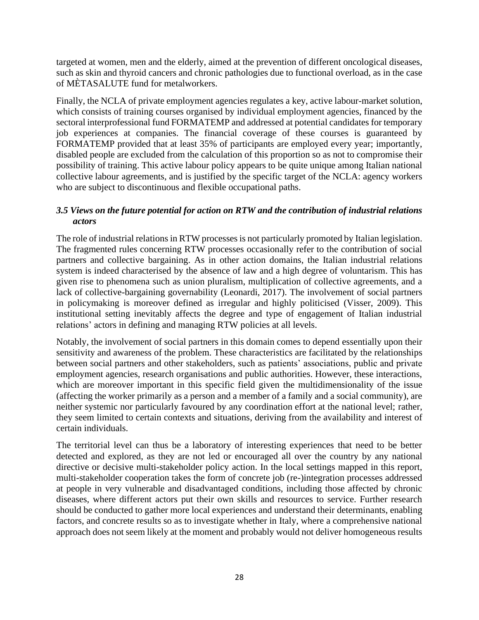targeted at women, men and the elderly, aimed at the prevention of different oncological diseases, such as skin and thyroid cancers and chronic pathologies due to functional overload, as in the case of MÈTASALUTE fund for metalworkers.

Finally, the NCLA of private employment agencies regulates a key, active labour-market solution, which consists of training courses organised by individual employment agencies, financed by the sectoral interprofessional fund FORMATEMP and addressed at potential candidates for temporary job experiences at companies. The financial coverage of these courses is guaranteed by FORMATEMP provided that at least 35% of participants are employed every year; importantly, disabled people are excluded from the calculation of this proportion so as not to compromise their possibility of training. This active labour policy appears to be quite unique among Italian national collective labour agreements, and is justified by the specific target of the NCLA: agency workers who are subject to discontinuous and flexible occupational paths.

## <span id="page-27-0"></span>*3.5 Views on the future potential for action on RTW and the contribution of industrial relations actors*

The role of industrial relations in RTW processes is not particularly promoted by Italian legislation. The fragmented rules concerning RTW processes occasionally refer to the contribution of social partners and collective bargaining. As in other action domains, the Italian industrial relations system is indeed characterised by the absence of law and a high degree of voluntarism. This has given rise to phenomena such as union pluralism, multiplication of collective agreements, and a lack of collective-bargaining governability (Leonardi, 2017). The involvement of social partners in policymaking is moreover defined as irregular and highly politicised (Visser, 2009). This institutional setting inevitably affects the degree and type of engagement of Italian industrial relations' actors in defining and managing RTW policies at all levels.

Notably, the involvement of social partners in this domain comes to depend essentially upon their sensitivity and awareness of the problem. These characteristics are facilitated by the relationships between social partners and other stakeholders, such as patients' associations, public and private employment agencies, research organisations and public authorities. However, these interactions, which are moreover important in this specific field given the multidimensionality of the issue (affecting the worker primarily as a person and a member of a family and a social community), are neither systemic nor particularly favoured by any coordination effort at the national level; rather, they seem limited to certain contexts and situations, deriving from the availability and interest of certain individuals.

The territorial level can thus be a laboratory of interesting experiences that need to be better detected and explored, as they are not led or encouraged all over the country by any national directive or decisive multi-stakeholder policy action. In the local settings mapped in this report, multi-stakeholder cooperation takes the form of concrete job (re-)integration processes addressed at people in very vulnerable and disadvantaged conditions, including those affected by chronic diseases, where different actors put their own skills and resources to service. Further research should be conducted to gather more local experiences and understand their determinants, enabling factors, and concrete results so as to investigate whether in Italy, where a comprehensive national approach does not seem likely at the moment and probably would not deliver homogeneous results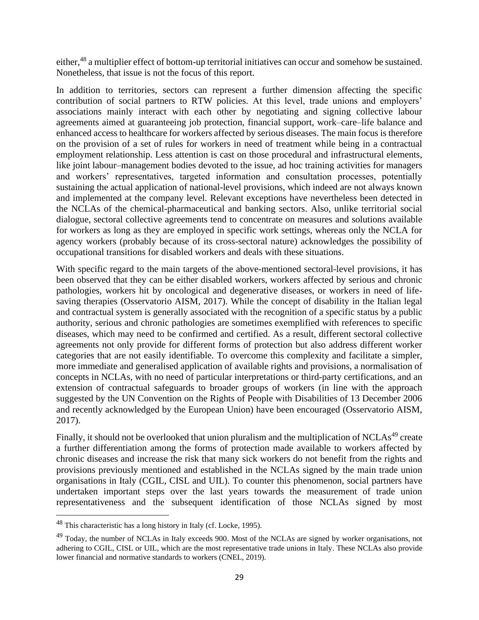either,<sup>48</sup> a multiplier effect of bottom-up territorial initiatives can occur and somehow be sustained. Nonetheless, that issue is not the focus of this report.

In addition to territories, sectors can represent a further dimension affecting the specific contribution of social partners to RTW policies. At this level, trade unions and employers' associations mainly interact with each other by negotiating and signing collective labour agreements aimed at guaranteeing job protection, financial support, work–care–life balance and enhanced access to healthcare for workers affected by serious diseases. The main focus is therefore on the provision of a set of rules for workers in need of treatment while being in a contractual employment relationship. Less attention is cast on those procedural and infrastructural elements, like joint labour–management bodies devoted to the issue, ad hoc training activities for managers and workers' representatives, targeted information and consultation processes, potentially sustaining the actual application of national-level provisions, which indeed are not always known and implemented at the company level. Relevant exceptions have nevertheless been detected in the NCLAs of the chemical-pharmaceutical and banking sectors. Also, unlike territorial social dialogue, sectoral collective agreements tend to concentrate on measures and solutions available for workers as long as they are employed in specific work settings, whereas only the NCLA for agency workers (probably because of its cross-sectoral nature) acknowledges the possibility of occupational transitions for disabled workers and deals with these situations.

With specific regard to the main targets of the above-mentioned sectoral-level provisions, it has been observed that they can be either disabled workers, workers affected by serious and chronic pathologies, workers hit by oncological and degenerative diseases, or workers in need of lifesaving therapies (Osservatorio AISM, 2017). While the concept of disability in the Italian legal and contractual system is generally associated with the recognition of a specific status by a public authority, serious and chronic pathologies are sometimes exemplified with references to specific diseases, which may need to be confirmed and certified. As a result, different sectoral collective agreements not only provide for different forms of protection but also address different worker categories that are not easily identifiable. To overcome this complexity and facilitate a simpler, more immediate and generalised application of available rights and provisions, a normalisation of concepts in NCLAs, with no need of particular interpretations or third-party certifications, and an extension of contractual safeguards to broader groups of workers (in line with the approach suggested by the UN Convention on the Rights of People with Disabilities of 13 December 2006 and recently acknowledged by the European Union) have been encouraged (Osservatorio AISM, 2017).

Finally, it should not be overlooked that union pluralism and the multiplication of NCLAs<sup>49</sup> create a further differentiation among the forms of protection made available to workers affected by chronic diseases and increase the risk that many sick workers do not benefit from the rights and provisions previously mentioned and established in the NCLAs signed by the main trade union organisations in Italy (CGIL, CISL and UIL). To counter this phenomenon, social partners have undertaken important steps over the last years towards the measurement of trade union representativeness and the subsequent identification of those NCLAs signed by most

<sup>48</sup> This characteristic has a long history in Italy (cf. Locke, 1995).

<sup>&</sup>lt;sup>49</sup> Today, the number of NCLAs in Italy exceeds 900. Most of the NCLAs are signed by worker organisations, not adhering to CGIL, CISL or UIL, which are the most representative trade unions in Italy. These NCLAs also provide lower financial and normative standards to workers (CNEL, 2019).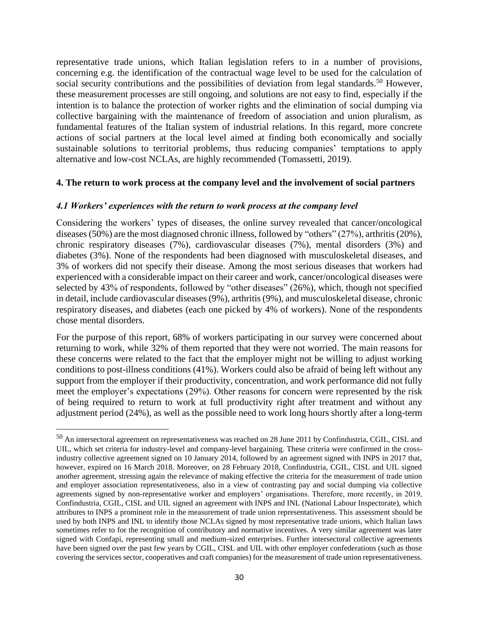representative trade unions, which Italian legislation refers to in a number of provisions, concerning e.g. the identification of the contractual wage level to be used for the calculation of social security contributions and the possibilities of deviation from legal standards.<sup>50</sup> However, these measurement processes are still ongoing, and solutions are not easy to find, especially if the intention is to balance the protection of worker rights and the elimination of social dumping via collective bargaining with the maintenance of freedom of association and union pluralism, as fundamental features of the Italian system of industrial relations. In this regard, more concrete actions of social partners at the local level aimed at finding both economically and socially sustainable solutions to territorial problems, thus reducing companies' temptations to apply alternative and low-cost NCLAs, are highly recommended (Tomassetti, 2019).

#### <span id="page-29-0"></span>**4. The return to work process at the company level and the involvement of social partners**

#### <span id="page-29-1"></span>*4.1 Workers' experiences with the return to work process at the company level*

Considering the workers' types of diseases, the online survey revealed that cancer/oncological diseases (50%) are the most diagnosed chronic illness, followed by "others" (27%), arthritis (20%), chronic respiratory diseases (7%), cardiovascular diseases (7%), mental disorders (3%) and diabetes (3%). None of the respondents had been diagnosed with musculoskeletal diseases, and 3% of workers did not specify their disease. Among the most serious diseases that workers had experienced with a considerable impact on their career and work, cancer/oncological diseases were selected by 43% of respondents, followed by "other diseases" (26%), which, though not specified in detail, include cardiovascular diseases (9%), arthritis (9%), and musculoskeletal disease, chronic respiratory diseases, and diabetes (each one picked by 4% of workers). None of the respondents chose mental disorders.

For the purpose of this report, 68% of workers participating in our survey were concerned about returning to work, while 32% of them reported that they were not worried. The main reasons for these concerns were related to the fact that the employer might not be willing to adjust working conditions to post-illness conditions (41%). Workers could also be afraid of being left without any support from the employer if their productivity, concentration, and work performance did not fully meet the employer's expectations (29%). Other reasons for concern were represented by the risk of being required to return to work at full productivity right after treatment and without any adjustment period (24%), as well as the possible need to work long hours shortly after a long-term

<sup>50</sup> An intersectoral agreement on representativeness was reached on 28 June 2011 by Confindustria, CGIL, CISL and UIL, which set criteria for industry-level and company-level bargaining. These criteria were confirmed in the crossindustry collective agreement signed on 10 January 2014, followed by an agreement signed with INPS in 2017 that, however, expired on 16 March 2018. Moreover, on 28 February 2018, Confindustria, CGIL, CISL and UIL signed another agreement, stressing again the relevance of making effective the criteria for the measurement of trade union and employer association representativeness, also in a view of contrasting pay and social dumping via collective agreements signed by non-representative worker and employers' organisations. Therefore, more recently, in 2019, Confindustria, CGIL, CISL and UIL signed an agreement with INPS and INL (National Labour Inspectorate), which attributes to INPS a prominent role in the measurement of trade union representativeness. This assessment should be used by both INPS and INL to identify those NCLAs signed by most representative trade unions, which Italian laws sometimes refer to for the recognition of contributory and normative incentives. A very similar agreement was later signed with Confapi, representing small and medium-sized enterprises. Further intersectoral collective agreements have been signed over the past few years by CGIL, CISL and UIL with other employer confederations (such as those covering the services sector, cooperatives and craft companies) for the measurement of trade union representativeness.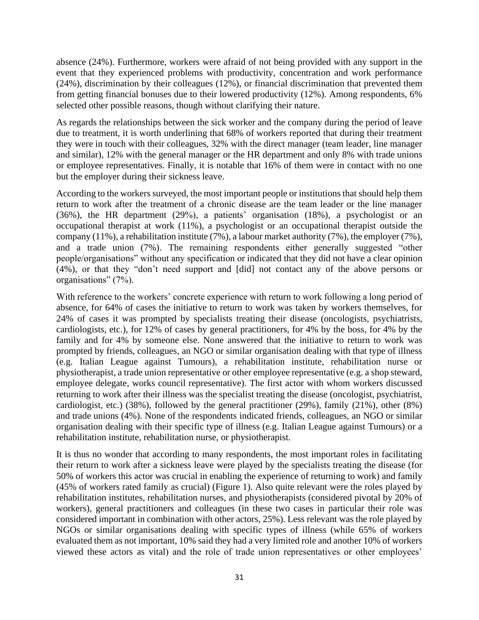absence (24%). Furthermore, workers were afraid of not being provided with any support in the event that they experienced problems with productivity, concentration and work performance (24%), discrimination by their colleagues (12%), or financial discrimination that prevented them from getting financial bonuses due to their lowered productivity (12%). Among respondents, 6% selected other possible reasons, though without clarifying their nature.

As regards the relationships between the sick worker and the company during the period of leave due to treatment, it is worth underlining that 68% of workers reported that during their treatment they were in touch with their colleagues, 32% with the direct manager (team leader, line manager and similar), 12% with the general manager or the HR department and only 8% with trade unions or employee representatives. Finally, it is notable that 16% of them were in contact with no one but the employer during their sickness leave.

According to the workers surveyed, the most important people or institutions that should help them return to work after the treatment of a chronic disease are the team leader or the line manager (36%), the HR department (29%), a patients' organisation (18%), a psychologist or an occupational therapist at work (11%), a psychologist or an occupational therapist outside the company (11%), a rehabilitation institute (7%), a labour market authority (7%), the employer (7%), and a trade union (7%). The remaining respondents either generally suggested "other people/organisations" without any specification or indicated that they did not have a clear opinion (4%), or that they "don't need support and [did] not contact any of the above persons or organisations" (7%).

With reference to the workers' concrete experience with return to work following a long period of absence, for 64% of cases the initiative to return to work was taken by workers themselves, for 24% of cases it was prompted by specialists treating their disease (oncologists, psychiatrists, cardiologists, etc.), for 12% of cases by general practitioners, for 4% by the boss, for 4% by the family and for 4% by someone else. None answered that the initiative to return to work was prompted by friends, colleagues, an NGO or similar organisation dealing with that type of illness (e.g. Italian League against Tumours), a rehabilitation institute, rehabilitation nurse or physiotherapist, a trade union representative or other employee representative (e.g. a shop steward, employee delegate, works council representative). The first actor with whom workers discussed returning to work after their illness was the specialist treating the disease (oncologist, psychiatrist, cardiologist, etc.) (38%), followed by the general practitioner (29%), family (21%), other (8%) and trade unions (4%). None of the respondents indicated friends, colleagues, an NGO or similar organisation dealing with their specific type of illness (e.g. Italian League against Tumours) or a rehabilitation institute, rehabilitation nurse, or physiotherapist.

It is thus no wonder that according to many respondents, the most important roles in facilitating their return to work after a sickness leave were played by the specialists treating the disease (for 50% of workers this actor was crucial in enabling the experience of returning to work) and family (45% of workers rated family as crucial) (Figure 1). Also quite relevant were the roles played by rehabilitation institutes, rehabilitation nurses, and physiotherapists (considered pivotal by 20% of workers), general practitioners and colleagues (in these two cases in particular their role was considered important in combination with other actors, 25%). Less relevant was the role played by NGOs or similar organisations dealing with specific types of illness (while 65% of workers evaluated them as not important, 10% said they had a very limited role and another 10% of workers viewed these actors as vital) and the role of trade union representatives or other employees'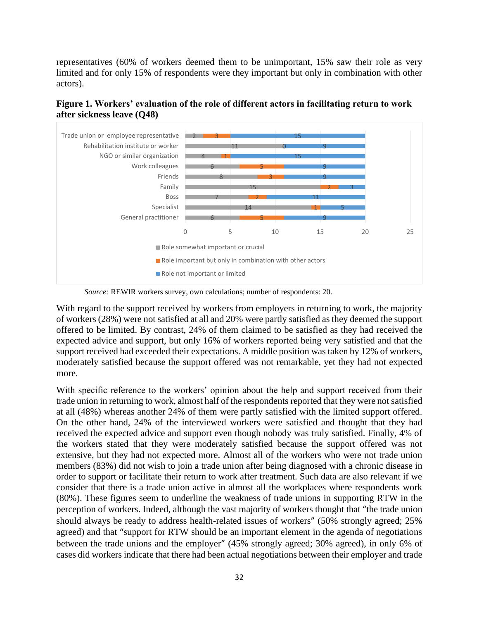representatives (60% of workers deemed them to be unimportant, 15% saw their role as very limited and for only 15% of respondents were they important but only in combination with other actors).



**Figure 1. Workers' evaluation of the role of different actors in facilitating return to work after sickness leave (Q48)**

With regard to the support received by workers from employers in returning to work, the majority of workers (28%) were not satisfied at all and 20% were partly satisfied as they deemed the support offered to be limited. By contrast, 24% of them claimed to be satisfied as they had received the expected advice and support, but only 16% of workers reported being very satisfied and that the support received had exceeded their expectations. A middle position was taken by 12% of workers, moderately satisfied because the support offered was not remarkable, yet they had not expected more.

With specific reference to the workers' opinion about the help and support received from their trade union in returning to work, almost half of the respondents reported that they were not satisfied at all (48%) whereas another 24% of them were partly satisfied with the limited support offered. On the other hand, 24% of the interviewed workers were satisfied and thought that they had received the expected advice and support even though nobody was truly satisfied. Finally, 4% of the workers stated that they were moderately satisfied because the support offered was not extensive, but they had not expected more. Almost all of the workers who were not trade union members (83%) did not wish to join a trade union after being diagnosed with a chronic disease in order to support or facilitate their return to work after treatment. Such data are also relevant if we consider that there is a trade union active in almost all the workplaces where respondents work (80%). These figures seem to underline the weakness of trade unions in supporting RTW in the perception of workers. Indeed, although the vast majority of workers thought that "the trade union should always be ready to address health-related issues of workers" (50% strongly agreed; 25% agreed) and that "support for RTW should be an important element in the agenda of negotiations between the trade unions and the employer" (45% strongly agreed; 30% agreed), in only 6% of cases did workers indicate that there had been actual negotiations between their employer and trade

*Source:* REWIR workers survey, own calculations; number of respondents: 20.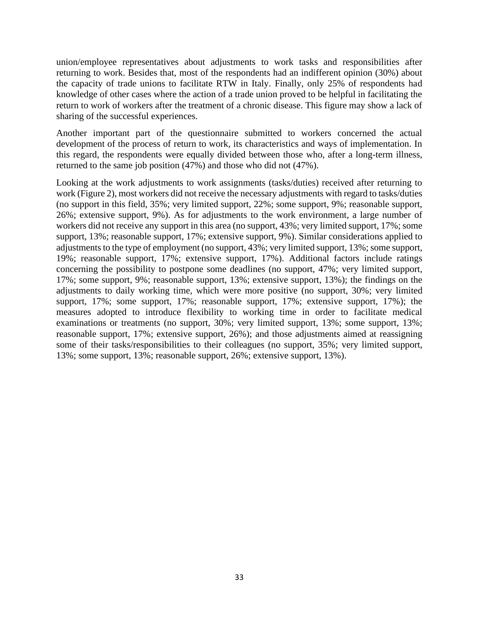union/employee representatives about adjustments to work tasks and responsibilities after returning to work. Besides that, most of the respondents had an indifferent opinion (30%) about the capacity of trade unions to facilitate RTW in Italy. Finally, only 25% of respondents had knowledge of other cases where the action of a trade union proved to be helpful in facilitating the return to work of workers after the treatment of a chronic disease. This figure may show a lack of sharing of the successful experiences.

Another important part of the questionnaire submitted to workers concerned the actual development of the process of return to work, its characteristics and ways of implementation. In this regard, the respondents were equally divided between those who, after a long-term illness, returned to the same job position (47%) and those who did not (47%).

Looking at the work adjustments to work assignments (tasks/duties) received after returning to work (Figure 2), most workers did not receive the necessary adjustments with regard to tasks/duties (no support in this field, 35%; very limited support, 22%; some support, 9%; reasonable support, 26%; extensive support, 9%). As for adjustments to the work environment, a large number of workers did not receive any support in this area (no support, 43%; very limited support, 17%; some support, 13%; reasonable support, 17%; extensive support, 9%). Similar considerations applied to adjustments to the type of employment (no support, 43%; very limited support, 13%; some support, 19%; reasonable support, 17%; extensive support, 17%). Additional factors include ratings concerning the possibility to postpone some deadlines (no support, 47%; very limited support, 17%; some support, 9%; reasonable support, 13%; extensive support, 13%); the findings on the adjustments to daily working time, which were more positive (no support, 30%; very limited support, 17%; some support, 17%; reasonable support, 17%; extensive support, 17%); the measures adopted to introduce flexibility to working time in order to facilitate medical examinations or treatments (no support, 30%; very limited support, 13%; some support, 13%; reasonable support, 17%; extensive support, 26%); and those adjustments aimed at reassigning some of their tasks/responsibilities to their colleagues (no support, 35%; very limited support, 13%; some support, 13%; reasonable support, 26%; extensive support, 13%).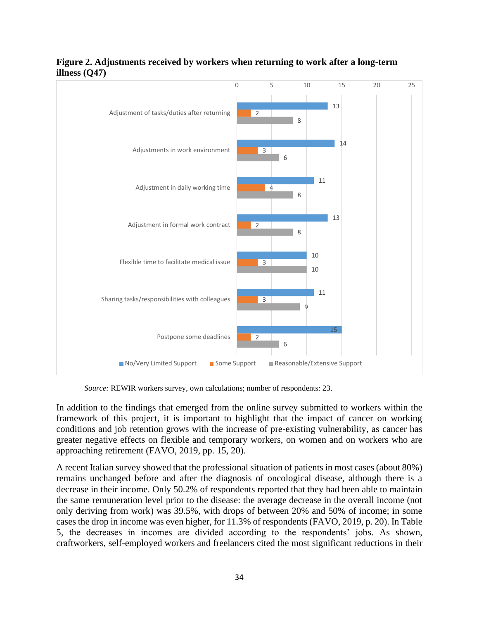

# **Figure 2. Adjustments received by workers when returning to work after a long-term illness (Q47)**

*Source:* REWIR workers survey, own calculations; number of respondents: 23.

In addition to the findings that emerged from the online survey submitted to workers within the framework of this project, it is important to highlight that the impact of cancer on working conditions and job retention grows with the increase of pre-existing vulnerability, as cancer has greater negative effects on flexible and temporary workers, on women and on workers who are approaching retirement (FAVO, 2019, pp. 15, 20).

A recent Italian survey showed that the professional situation of patients in most cases (about 80%) remains unchanged before and after the diagnosis of oncological disease, although there is a decrease in their income. Only 50.2% of respondents reported that they had been able to maintain the same remuneration level prior to the disease: the average decrease in the overall income (not only deriving from work) was 39.5%, with drops of between 20% and 50% of income; in some cases the drop in income was even higher, for 11.3% of respondents (FAVO, 2019, p. 20). In Table 5, the decreases in incomes are divided according to the respondents' jobs. As shown, craftworkers, self-employed workers and freelancers cited the most significant reductions in their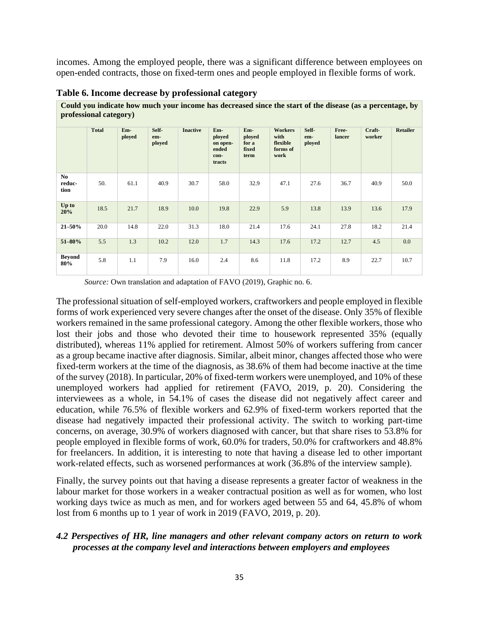incomes. Among the employed people, there was a significant difference between employees on open-ended contracts, those on fixed-term ones and people employed in flexible forms of work.

**Could you indicate how much your income has decreased since the start of the disease (as a percentage, by**

| professional category) |              |               |                        |                 |                                                      |                                         |                                                        |                        |                 |                  |                 |
|------------------------|--------------|---------------|------------------------|-----------------|------------------------------------------------------|-----------------------------------------|--------------------------------------------------------|------------------------|-----------------|------------------|-----------------|
|                        | <b>Total</b> | Em-<br>ployed | Self-<br>em-<br>ployed | <b>Inactive</b> | Em-<br>ployed<br>on open-<br>ended<br>con-<br>tracts | Em-<br>ployed<br>for a<br>fixed<br>term | <b>Workers</b><br>with<br>flexible<br>forms of<br>work | Self-<br>em-<br>ployed | Free-<br>lancer | Craft-<br>worker | <b>Retailer</b> |
| No<br>reduc-<br>tion   | 50.          | 61.1          | 40.9                   | 30.7            | 58.0                                                 | 32.9                                    | 47.1                                                   | 27.6                   | 36.7            | 40.9             | 50.0            |
| Up to<br>20%           | 18.5         | 21.7          | 18.9                   | 10.0            | 19.8                                                 | 22.9                                    | 5.9                                                    | 13.8                   | 13.9            | 13.6             | 17.9            |
| $21 - 50%$             | 20.0         | 14.8          | 22.0                   | 31.3            | 18.0                                                 | 21.4                                    | 17.6                                                   | 24.1                   | 27.8            | 18.2             | 21.4            |
| 51-80%                 | 5.5          | 1.3           | 10.2                   | 12.0            | 1.7                                                  | 14.3                                    | 17.6                                                   | 17.2                   | 12.7            | 4.5              | $0.0\,$         |
| <b>Beyond</b><br>80%   | 5.8          | 1.1           | 7.9                    | 16.0            | 2.4                                                  | 8.6                                     | 11.8                                                   | 17.2                   | 8.9             | 22.7             | 10.7            |

**Table 6. Income decrease by professional category**

*Source:* Own translation and adaptation of FAVO (2019), Graphic no. 6.

The professional situation of self-employed workers, craftworkers and people employed in flexible forms of work experienced very severe changes after the onset of the disease. Only 35% of flexible workers remained in the same professional category. Among the other flexible workers, those who lost their jobs and those who devoted their time to housework represented 35% (equally distributed), whereas 11% applied for retirement. Almost 50% of workers suffering from cancer as a group became inactive after diagnosis. Similar, albeit minor, changes affected those who were fixed-term workers at the time of the diagnosis, as 38.6% of them had become inactive at the time of the survey (2018). In particular, 20% of fixed-term workers were unemployed, and 10% of these unemployed workers had applied for retirement (FAVO, 2019, p. 20). Considering the interviewees as a whole, in 54.1% of cases the disease did not negatively affect career and education, while 76.5% of flexible workers and 62.9% of fixed-term workers reported that the disease had negatively impacted their professional activity. The switch to working part-time concerns, on average, 30.9% of workers diagnosed with cancer, but that share rises to 53.8% for people employed in flexible forms of work, 60.0% for traders, 50.0% for craftworkers and 48.8% for freelancers. In addition, it is interesting to note that having a disease led to other important work-related effects, such as worsened performances at work (36.8% of the interview sample).

Finally, the survey points out that having a disease represents a greater factor of weakness in the labour market for those workers in a weaker contractual position as well as for women, who lost working days twice as much as men, and for workers aged between 55 and 64, 45.8% of whom lost from 6 months up to 1 year of work in 2019 (FAVO, 2019, p. 20).

### <span id="page-34-0"></span>*4.2 Perspectives of HR, line managers and other relevant company actors on return to work processes at the company level and interactions between employers and employees*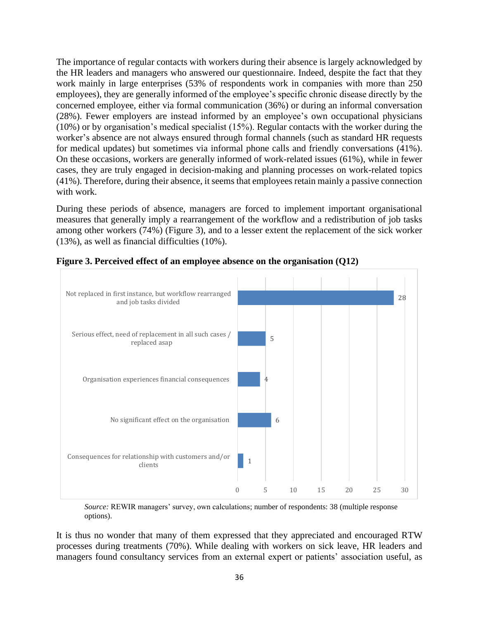The importance of regular contacts with workers during their absence is largely acknowledged by the HR leaders and managers who answered our questionnaire. Indeed, despite the fact that they work mainly in large enterprises (53% of respondents work in companies with more than 250 employees), they are generally informed of the employee's specific chronic disease directly by the concerned employee, either via formal communication (36%) or during an informal conversation (28%). Fewer employers are instead informed by an employee's own occupational physicians (10%) or by organisation's medical specialist (15%). Regular contacts with the worker during the worker's absence are not always ensured through formal channels (such as standard HR requests for medical updates) but sometimes via informal phone calls and friendly conversations (41%). On these occasions, workers are generally informed of work-related issues (61%), while in fewer cases, they are truly engaged in decision-making and planning processes on work-related topics (41%). Therefore, during their absence, it seems that employees retain mainly a passive connection with work.

During these periods of absence, managers are forced to implement important organisational measures that generally imply a rearrangement of the workflow and a redistribution of job tasks among other workers (74%) (Figure 3), and to a lesser extent the replacement of the sick worker (13%), as well as financial difficulties (10%).



**Figure 3. Perceived effect of an employee absence on the organisation (Q12)**

*Source:* REWIR managers' survey, own calculations; number of respondents: 38 (multiple response options).

It is thus no wonder that many of them expressed that they appreciated and encouraged RTW processes during treatments (70%). While dealing with workers on sick leave, HR leaders and managers found consultancy services from an external expert or patients' association useful, as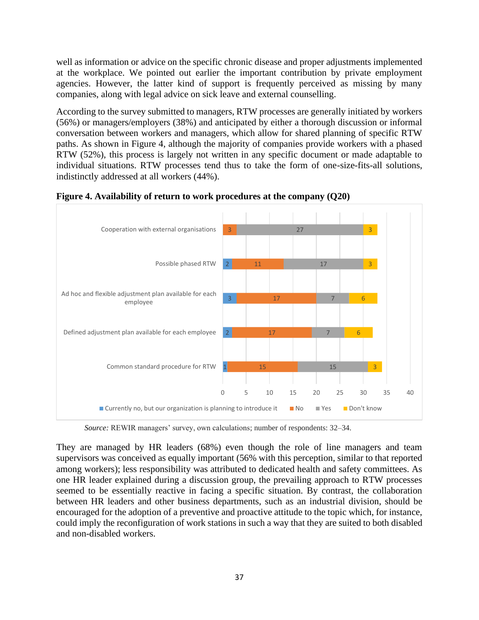well as information or advice on the specific chronic disease and proper adjustments implemented at the workplace. We pointed out earlier the important contribution by private employment agencies. However, the latter kind of support is frequently perceived as missing by many companies, along with legal advice on sick leave and external counselling.

According to the survey submitted to managers, RTW processes are generally initiated by workers (56%) or managers/employers (38%) and anticipated by either a thorough discussion or informal conversation between workers and managers, which allow for shared planning of specific RTW paths. As shown in Figure 4, although the majority of companies provide workers with a phased RTW (52%), this process is largely not written in any specific document or made adaptable to individual situations. RTW processes tend thus to take the form of one-size-fits-all solutions, indistinctly addressed at all workers (44%).



**Figure 4. Availability of return to work procedures at the company (Q20)**

*Source:* REWIR managers' survey, own calculations; number of respondents: 32–34.

They are managed by HR leaders (68%) even though the role of line managers and team supervisors was conceived as equally important (56% with this perception, similar to that reported among workers); less responsibility was attributed to dedicated health and safety committees. As one HR leader explained during a discussion group, the prevailing approach to RTW processes seemed to be essentially reactive in facing a specific situation. By contrast, the collaboration between HR leaders and other business departments, such as an industrial division, should be encouraged for the adoption of a preventive and proactive attitude to the topic which, for instance, could imply the reconfiguration of work stations in such a way that they are suited to both disabled and non-disabled workers.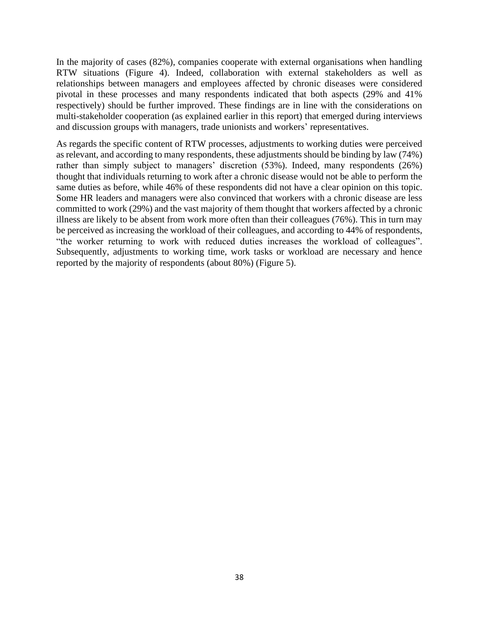In the majority of cases (82%), companies cooperate with external organisations when handling RTW situations (Figure 4). Indeed, collaboration with external stakeholders as well as relationships between managers and employees affected by chronic diseases were considered pivotal in these processes and many respondents indicated that both aspects (29% and 41% respectively) should be further improved. These findings are in line with the considerations on multi-stakeholder cooperation (as explained earlier in this report) that emerged during interviews and discussion groups with managers, trade unionists and workers' representatives.

As regards the specific content of RTW processes, adjustments to working duties were perceived as relevant, and according to many respondents, these adjustments should be binding by law (74%) rather than simply subject to managers' discretion (53%). Indeed, many respondents (26%) thought that individuals returning to work after a chronic disease would not be able to perform the same duties as before, while 46% of these respondents did not have a clear opinion on this topic. Some HR leaders and managers were also convinced that workers with a chronic disease are less committed to work (29%) and the vast majority of them thought that workers affected by a chronic illness are likely to be absent from work more often than their colleagues (76%). This in turn may be perceived as increasing the workload of their colleagues, and according to 44% of respondents, "the worker returning to work with reduced duties increases the workload of colleagues". Subsequently, adjustments to working time, work tasks or workload are necessary and hence reported by the majority of respondents (about 80%) (Figure 5).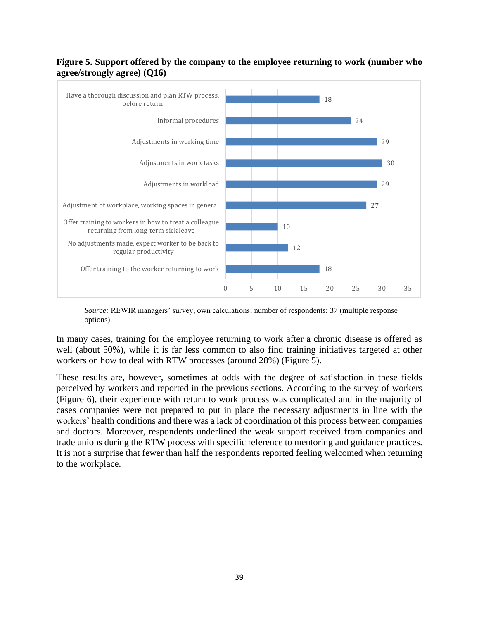#### **Figure 5. Support offered by the company to the employee returning to work (number who agree/strongly agree) (Q16)**



*Source:* REWIR managers' survey, own calculations; number of respondents: 37 (multiple response options).

In many cases, training for the employee returning to work after a chronic disease is offered as well (about 50%), while it is far less common to also find training initiatives targeted at other workers on how to deal with RTW processes (around 28%) (Figure 5).

These results are, however, sometimes at odds with the degree of satisfaction in these fields perceived by workers and reported in the previous sections. According to the survey of workers (Figure 6), their experience with return to work process was complicated and in the majority of cases companies were not prepared to put in place the necessary adjustments in line with the workers' health conditions and there was a lack of coordination of this process between companies and doctors. Moreover, respondents underlined the weak support received from companies and trade unions during the RTW process with specific reference to mentoring and guidance practices. It is not a surprise that fewer than half the respondents reported feeling welcomed when returning to the workplace.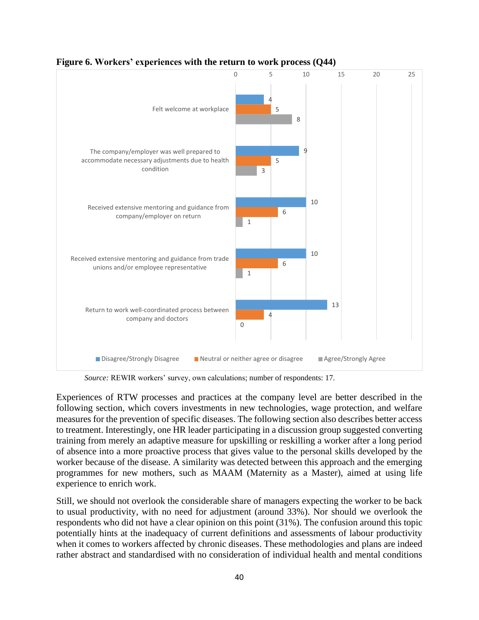

**Figure 6. Workers' experiences with the return to work process (Q44)**

*Source:* REWIR workers' survey, own calculations; number of respondents: 17.

Experiences of RTW processes and practices at the company level are better described in the following section, which covers investments in new technologies, wage protection, and welfare measures for the prevention of specific diseases. The following section also describes better access to treatment. Interestingly, one HR leader participating in a discussion group suggested converting training from merely an adaptive measure for upskilling or reskilling a worker after a long period of absence into a more proactive process that gives value to the personal skills developed by the worker because of the disease. A similarity was detected between this approach and the emerging programmes for new mothers, such as MAAM (Maternity as a Master), aimed at using life experience to enrich work.

Still, we should not overlook the considerable share of managers expecting the worker to be back to usual productivity, with no need for adjustment (around 33%). Nor should we overlook the respondents who did not have a clear opinion on this point (31%). The confusion around this topic potentially hints at the inadequacy of current definitions and assessments of labour productivity when it comes to workers affected by chronic diseases. These methodologies and plans are indeed rather abstract and standardised with no consideration of individual health and mental conditions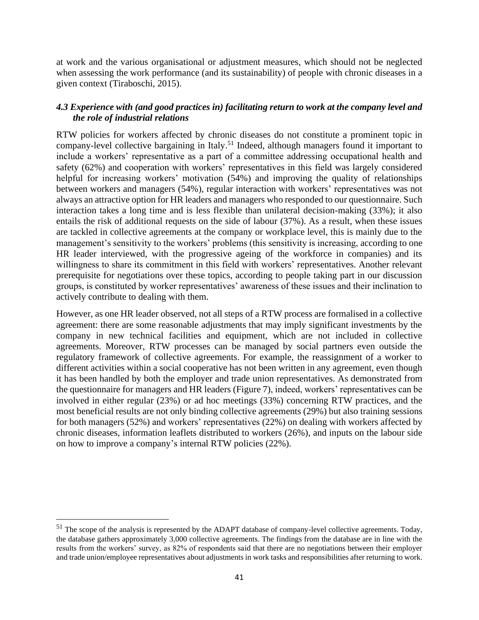at work and the various organisational or adjustment measures, which should not be neglected when assessing the work performance (and its sustainability) of people with chronic diseases in a given context (Tiraboschi, 2015).

# <span id="page-40-0"></span>*4.3 Experience with (and good practices in) facilitating return to work at the company level and the role of industrial relations*

RTW policies for workers affected by chronic diseases do not constitute a prominent topic in company-level collective bargaining in Italy.<sup>51</sup> Indeed, although managers found it important to include a workers' representative as a part of a committee addressing occupational health and safety (62%) and cooperation with workers' representatives in this field was largely considered helpful for increasing workers' motivation (54%) and improving the quality of relationships between workers and managers (54%), regular interaction with workers' representatives was not always an attractive option for HR leaders and managers who responded to our questionnaire. Such interaction takes a long time and is less flexible than unilateral decision-making (33%); it also entails the risk of additional requests on the side of labour (37%). As a result, when these issues are tackled in collective agreements at the company or workplace level, this is mainly due to the management's sensitivity to the workers' problems (this sensitivity is increasing, according to one HR leader interviewed, with the progressive ageing of the workforce in companies) and its willingness to share its commitment in this field with workers' representatives. Another relevant prerequisite for negotiations over these topics, according to people taking part in our discussion groups, is constituted by worker representatives' awareness of these issues and their inclination to actively contribute to dealing with them.

However, as one HR leader observed, not all steps of a RTW process are formalised in a collective agreement: there are some reasonable adjustments that may imply significant investments by the company in new technical facilities and equipment, which are not included in collective agreements. Moreover, RTW processes can be managed by social partners even outside the regulatory framework of collective agreements. For example, the reassignment of a worker to different activities within a social cooperative has not been written in any agreement, even though it has been handled by both the employer and trade union representatives. As demonstrated from the questionnaire for managers and HR leaders (Figure 7), indeed, workers' representatives can be involved in either regular (23%) or ad hoc meetings (33%) concerning RTW practices, and the most beneficial results are not only binding collective agreements (29%) but also training sessions for both managers (52%) and workers' representatives (22%) on dealing with workers affected by chronic diseases, information leaflets distributed to workers (26%), and inputs on the labour side on how to improve a company's internal RTW policies (22%).

<sup>&</sup>lt;sup>51</sup> The scope of the analysis is represented by the ADAPT database of company-level collective agreements. Today, the database gathers approximately 3,000 collective agreements. The findings from the database are in line with the results from the workers' survey, as 82% of respondents said that there are no negotiations between their employer and trade union/employee representatives about adjustments in work tasks and responsibilities after returning to work.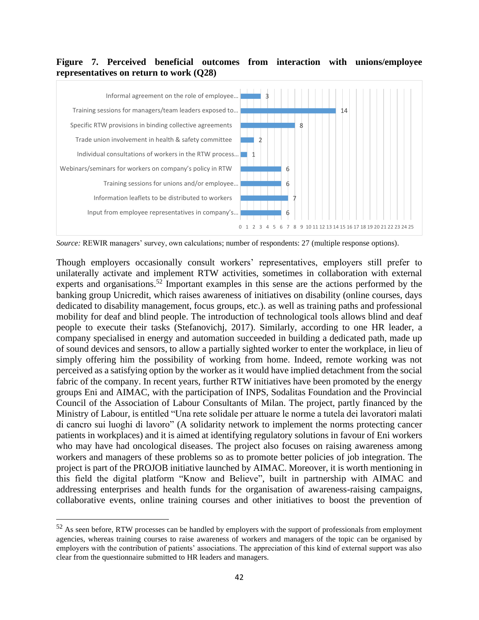## **Figure 7. Perceived beneficial outcomes from interaction with unions/employee representatives on return to work (Q28)**



*Source:* REWIR managers' survey, own calculations; number of respondents: 27 (multiple response options).

Though employers occasionally consult workers' representatives, employers still prefer to unilaterally activate and implement RTW activities, sometimes in collaboration with external experts and organisations.<sup>52</sup> Important examples in this sense are the actions performed by the banking group Unicredit, which raises awareness of initiatives on disability (online courses, days dedicated to disability management, focus groups, etc.). as well as training paths and professional mobility for deaf and blind people. The introduction of technological tools allows blind and deaf people to execute their tasks (Stefanovichj, 2017). Similarly, according to one HR leader, a company specialised in energy and automation succeeded in building a dedicated path, made up of sound devices and sensors, to allow a partially sighted worker to enter the workplace, in lieu of simply offering him the possibility of working from home. Indeed, remote working was not perceived as a satisfying option by the worker as it would have implied detachment from the social fabric of the company. In recent years, further RTW initiatives have been promoted by the energy groups Eni and AIMAC, with the participation of INPS, Sodalitas Foundation and the Provincial Council of the Association of Labour Consultants of Milan. The project, partly financed by the Ministry of Labour, is entitled "Una rete solidale per attuare le norme a tutela dei lavoratori malati di cancro sui luoghi di lavoro" (A solidarity network to implement the norms protecting cancer patients in workplaces) and it is aimed at identifying regulatory solutions in favour of Eni workers who may have had oncological diseases. The project also focuses on raising awareness among workers and managers of these problems so as to promote better policies of job integration. The project is part of the PROJOB initiative launched by AIMAC. Moreover, it is worth mentioning in this field the digital platform "Know and Believe", built in partnership with AIMAC and addressing enterprises and health funds for the organisation of awareness-raising campaigns, collaborative events, online training courses and other initiatives to boost the prevention of

<sup>&</sup>lt;sup>52</sup> As seen before, RTW processes can be handled by employers with the support of professionals from employment agencies, whereas training courses to raise awareness of workers and managers of the topic can be organised by employers with the contribution of patients' associations. The appreciation of this kind of external support was also clear from the questionnaire submitted to HR leaders and managers.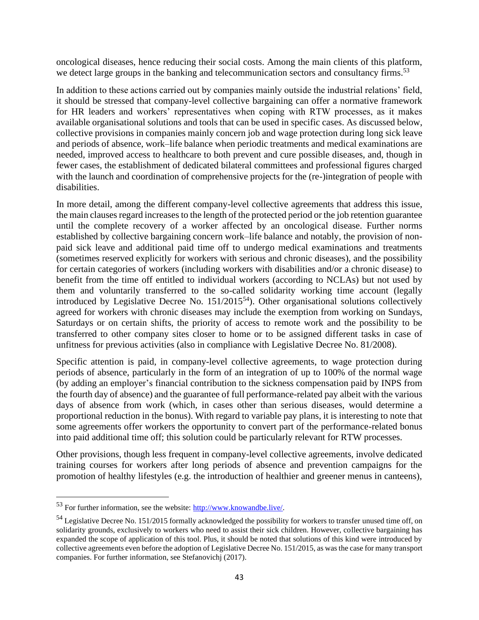oncological diseases, hence reducing their social costs. Among the main clients of this platform, we detect large groups in the banking and telecommunication sectors and consultancy firms.<sup>53</sup>

In addition to these actions carried out by companies mainly outside the industrial relations' field, it should be stressed that company-level collective bargaining can offer a normative framework for HR leaders and workers' representatives when coping with RTW processes, as it makes available organisational solutions and tools that can be used in specific cases. As discussed below, collective provisions in companies mainly concern job and wage protection during long sick leave and periods of absence, work–life balance when periodic treatments and medical examinations are needed, improved access to healthcare to both prevent and cure possible diseases, and, though in fewer cases, the establishment of dedicated bilateral committees and professional figures charged with the launch and coordination of comprehensive projects for the (re-)integration of people with disabilities.

In more detail, among the different company-level collective agreements that address this issue, the main clauses regard increases to the length of the protected period or the job retention guarantee until the complete recovery of a worker affected by an oncological disease. Further norms established by collective bargaining concern work–life balance and notably, the provision of nonpaid sick leave and additional paid time off to undergo medical examinations and treatments (sometimes reserved explicitly for workers with serious and chronic diseases), and the possibility for certain categories of workers (including workers with disabilities and/or a chronic disease) to benefit from the time off entitled to individual workers (according to NCLAs) but not used by them and voluntarily transferred to the so-called solidarity working time account (legally introduced by Legislative Decree No.  $151/2015^{54}$ ). Other organisational solutions collectively agreed for workers with chronic diseases may include the exemption from working on Sundays, Saturdays or on certain shifts, the priority of access to remote work and the possibility to be transferred to other company sites closer to home or to be assigned different tasks in case of unfitness for previous activities (also in compliance with Legislative Decree No. 81/2008).

Specific attention is paid, in company-level collective agreements, to wage protection during periods of absence, particularly in the form of an integration of up to 100% of the normal wage (by adding an employer's financial contribution to the sickness compensation paid by INPS from the fourth day of absence) and the guarantee of full performance-related pay albeit with the various days of absence from work (which, in cases other than serious diseases, would determine a proportional reduction in the bonus). With regard to variable pay plans, it is interesting to note that some agreements offer workers the opportunity to convert part of the performance-related bonus into paid additional time off; this solution could be particularly relevant for RTW processes.

Other provisions, though less frequent in company-level collective agreements, involve dedicated training courses for workers after long periods of absence and prevention campaigns for the promotion of healthy lifestyles (e.g. the introduction of healthier and greener menus in canteens),

<sup>53</sup> For further information, see the website[: http://www.knowandbe.live/.](http://www.knowandbe.live/)

<sup>&</sup>lt;sup>54</sup> Legislative Decree No. 151/2015 formally acknowledged the possibility for workers to transfer unused time off, on solidarity grounds, exclusively to workers who need to assist their sick children. However, collective bargaining has expanded the scope of application of this tool. Plus, it should be noted that solutions of this kind were introduced by collective agreements even before the adoption of Legislative Decree No. 151/2015, as was the case for many transport companies. For further information, see Stefanovichj (2017).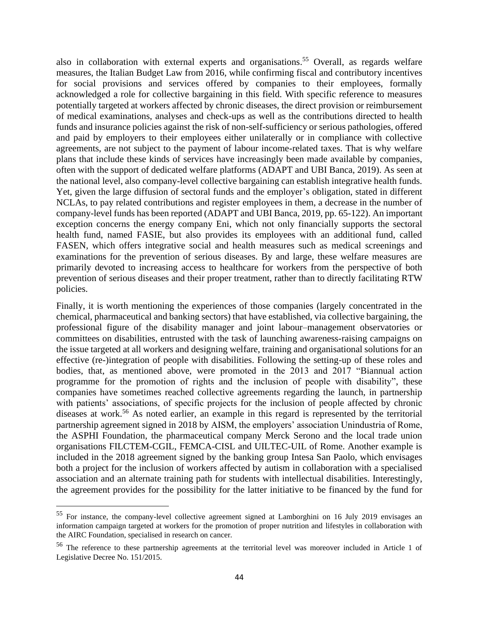also in collaboration with external experts and organisations.<sup>55</sup> Overall, as regards welfare measures, the Italian Budget Law from 2016, while confirming fiscal and contributory incentives for social provisions and services offered by companies to their employees, formally acknowledged a role for collective bargaining in this field. With specific reference to measures potentially targeted at workers affected by chronic diseases, the direct provision or reimbursement of medical examinations, analyses and check-ups as well as the contributions directed to health funds and insurance policies against the risk of non-self-sufficiency or serious pathologies, offered and paid by employers to their employees either unilaterally or in compliance with collective agreements, are not subject to the payment of labour income-related taxes. That is why welfare plans that include these kinds of services have increasingly been made available by companies, often with the support of dedicated welfare platforms (ADAPT and UBI Banca, 2019). As seen at the national level, also company-level collective bargaining can establish integrative health funds. Yet, given the large diffusion of sectoral funds and the employer's obligation, stated in different NCLAs, to pay related contributions and register employees in them, a decrease in the number of company-level funds has been reported (ADAPT and UBI Banca, 2019, pp. 65-122). An important exception concerns the energy company Eni, which not only financially supports the sectoral health fund, named FASIE, but also provides its employees with an additional fund, called FASEN, which offers integrative social and health measures such as medical screenings and examinations for the prevention of serious diseases. By and large, these welfare measures are primarily devoted to increasing access to healthcare for workers from the perspective of both prevention of serious diseases and their proper treatment, rather than to directly facilitating RTW policies.

Finally, it is worth mentioning the experiences of those companies (largely concentrated in the chemical, pharmaceutical and banking sectors) that have established, via collective bargaining, the professional figure of the disability manager and joint labour–management observatories or committees on disabilities, entrusted with the task of launching awareness-raising campaigns on the issue targeted at all workers and designing welfare, training and organisational solutions for an effective (re-)integration of people with disabilities. Following the setting-up of these roles and bodies, that, as mentioned above, were promoted in the 2013 and 2017 "Biannual action programme for the promotion of rights and the inclusion of people with disability", these companies have sometimes reached collective agreements regarding the launch, in partnership with patients' associations, of specific projects for the inclusion of people affected by chronic diseases at work.<sup>56</sup> As noted earlier, an example in this regard is represented by the territorial partnership agreement signed in 2018 by AISM, the employers' association Unindustria of Rome, the ASPHI Foundation, the pharmaceutical company Merck Serono and the local trade union organisations FILCTEM-CGIL, FEMCA-CISL and UILTEC-UIL of Rome. Another example is included in the 2018 agreement signed by the banking group Intesa San Paolo, which envisages both a project for the inclusion of workers affected by autism in collaboration with a specialised association and an alternate training path for students with intellectual disabilities. Interestingly, the agreement provides for the possibility for the latter initiative to be financed by the fund for

<sup>55</sup> For instance, the company-level collective agreement signed at Lamborghini on 16 July 2019 envisages an information campaign targeted at workers for the promotion of proper nutrition and lifestyles in collaboration with the AIRC Foundation, specialised in research on cancer.

<sup>56</sup> The reference to these partnership agreements at the territorial level was moreover included in Article 1 of Legislative Decree No. 151/2015.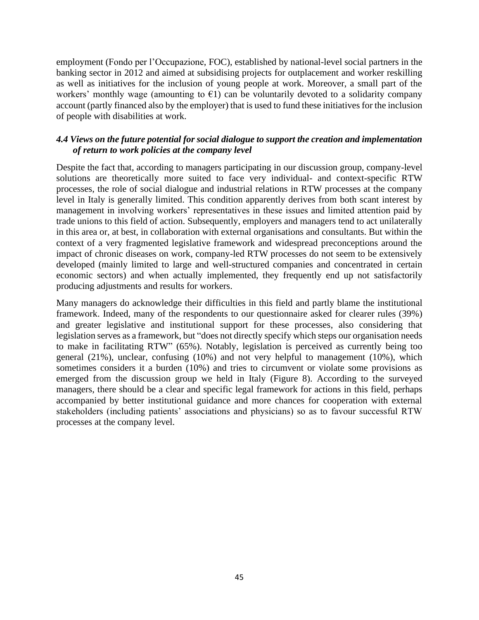employment (Fondo per l'Occupazione, FOC), established by national-level social partners in the banking sector in 2012 and aimed at subsidising projects for outplacement and worker reskilling as well as initiatives for the inclusion of young people at work. Moreover, a small part of the workers' monthly wage (amounting to  $\epsilon$ 1) can be voluntarily devoted to a solidarity company account (partly financed also by the employer) that is used to fund these initiatives for the inclusion of people with disabilities at work.

#### <span id="page-44-0"></span>*4.4 Views on the future potential for social dialogue to support the creation and implementation of return to work policies at the company level*

Despite the fact that, according to managers participating in our discussion group, company-level solutions are theoretically more suited to face very individual- and context-specific RTW processes, the role of social dialogue and industrial relations in RTW processes at the company level in Italy is generally limited. This condition apparently derives from both scant interest by management in involving workers' representatives in these issues and limited attention paid by trade unions to this field of action. Subsequently, employers and managers tend to act unilaterally in this area or, at best, in collaboration with external organisations and consultants. But within the context of a very fragmented legislative framework and widespread preconceptions around the impact of chronic diseases on work, company-led RTW processes do not seem to be extensively developed (mainly limited to large and well-structured companies and concentrated in certain economic sectors) and when actually implemented, they frequently end up not satisfactorily producing adjustments and results for workers.

Many managers do acknowledge their difficulties in this field and partly blame the institutional framework. Indeed, many of the respondents to our questionnaire asked for clearer rules (39%) and greater legislative and institutional support for these processes, also considering that legislation serves as a framework, but "does not directly specify which steps our organisation needs to make in facilitating RTW" (65%). Notably, legislation is perceived as currently being too general (21%), unclear, confusing (10%) and not very helpful to management (10%), which sometimes considers it a burden (10%) and tries to circumvent or violate some provisions as emerged from the discussion group we held in Italy (Figure 8). According to the surveyed managers, there should be a clear and specific legal framework for actions in this field, perhaps accompanied by better institutional guidance and more chances for cooperation with external stakeholders (including patients' associations and physicians) so as to favour successful RTW processes at the company level.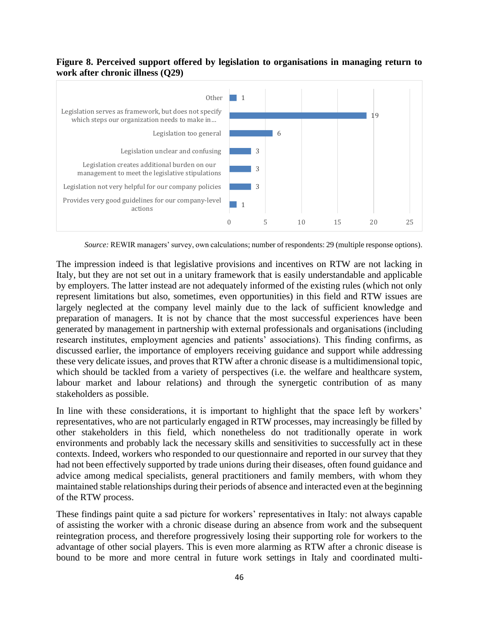#### **Figure 8. Perceived support offered by legislation to organisations in managing return to work after chronic illness (Q29)**



*Source:* REWIR managers' survey, own calculations; number of respondents: 29 (multiple response options).

The impression indeed is that legislative provisions and incentives on RTW are not lacking in Italy, but they are not set out in a unitary framework that is easily understandable and applicable by employers. The latter instead are not adequately informed of the existing rules (which not only represent limitations but also, sometimes, even opportunities) in this field and RTW issues are largely neglected at the company level mainly due to the lack of sufficient knowledge and preparation of managers. It is not by chance that the most successful experiences have been generated by management in partnership with external professionals and organisations (including research institutes, employment agencies and patients' associations). This finding confirms, as discussed earlier, the importance of employers receiving guidance and support while addressing these very delicate issues, and proves that RTW after a chronic disease is a multidimensional topic, which should be tackled from a variety of perspectives (i.e. the welfare and healthcare system, labour market and labour relations) and through the synergetic contribution of as many stakeholders as possible.

In line with these considerations, it is important to highlight that the space left by workers' representatives, who are not particularly engaged in RTW processes, may increasingly be filled by other stakeholders in this field, which nonetheless do not traditionally operate in work environments and probably lack the necessary skills and sensitivities to successfully act in these contexts. Indeed, workers who responded to our questionnaire and reported in our survey that they had not been effectively supported by trade unions during their diseases, often found guidance and advice among medical specialists, general practitioners and family members, with whom they maintained stable relationships during their periods of absence and interacted even at the beginning of the RTW process.

These findings paint quite a sad picture for workers' representatives in Italy: not always capable of assisting the worker with a chronic disease during an absence from work and the subsequent reintegration process, and therefore progressively losing their supporting role for workers to the advantage of other social players. This is even more alarming as RTW after a chronic disease is bound to be more and more central in future work settings in Italy and coordinated multi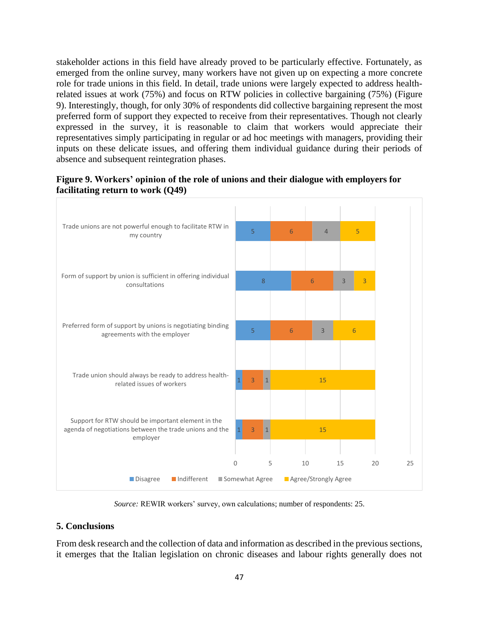stakeholder actions in this field have already proved to be particularly effective. Fortunately, as emerged from the online survey, many workers have not given up on expecting a more concrete role for trade unions in this field. In detail, trade unions were largely expected to address healthrelated issues at work (75%) and focus on RTW policies in collective bargaining (75%) (Figure 9). Interestingly, though, for only 30% of respondents did collective bargaining represent the most preferred form of support they expected to receive from their representatives. Though not clearly expressed in the survey, it is reasonable to claim that workers would appreciate their representatives simply participating in regular or ad hoc meetings with managers, providing their inputs on these delicate issues, and offering them individual guidance during their periods of absence and subsequent reintegration phases.



#### **Figure 9. Workers' opinion of the role of unions and their dialogue with employers for facilitating return to work (Q49)**

*Source:* REWIR workers' survey, own calculations; number of respondents: 25.

#### <span id="page-46-0"></span>**5. Conclusions**

From desk research and the collection of data and information as described in the previous sections, it emerges that the Italian legislation on chronic diseases and labour rights generally does not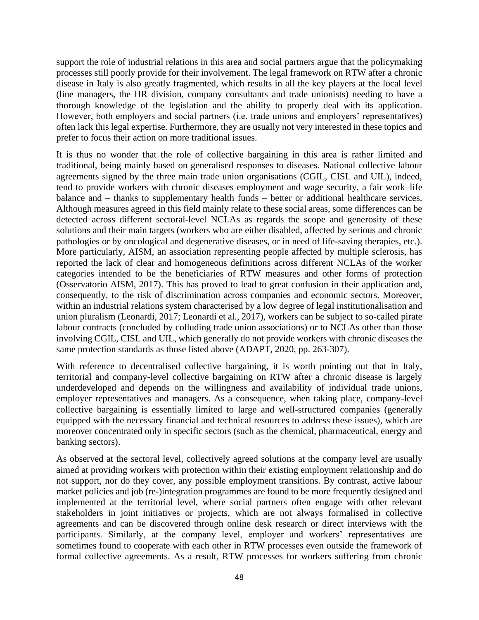support the role of industrial relations in this area and social partners argue that the policymaking processes still poorly provide for their involvement. The legal framework on RTW after a chronic disease in Italy is also greatly fragmented, which results in all the key players at the local level (line managers, the HR division, company consultants and trade unionists) needing to have a thorough knowledge of the legislation and the ability to properly deal with its application. However, both employers and social partners (i.e. trade unions and employers' representatives) often lack this legal expertise. Furthermore, they are usually not very interested in these topics and prefer to focus their action on more traditional issues.

It is thus no wonder that the role of collective bargaining in this area is rather limited and traditional, being mainly based on generalised responses to diseases. National collective labour agreements signed by the three main trade union organisations (CGIL, CISL and UIL), indeed, tend to provide workers with chronic diseases employment and wage security, a fair work–life balance and – thanks to supplementary health funds – better or additional healthcare services. Although measures agreed in this field mainly relate to these social areas, some differences can be detected across different sectoral-level NCLAs as regards the scope and generosity of these solutions and their main targets (workers who are either disabled, affected by serious and chronic pathologies or by oncological and degenerative diseases, or in need of life-saving therapies, etc.). More particularly, AISM, an association representing people affected by multiple sclerosis, has reported the lack of clear and homogeneous definitions across different NCLAs of the worker categories intended to be the beneficiaries of RTW measures and other forms of protection (Osservatorio AISM, 2017). This has proved to lead to great confusion in their application and, consequently, to the risk of discrimination across companies and economic sectors. Moreover, within an industrial relations system characterised by a low degree of legal institutionalisation and union pluralism (Leonardi, 2017; Leonardi et al., 2017), workers can be subject to so-called pirate labour contracts (concluded by colluding trade union associations) or to NCLAs other than those involving CGIL, CISL and UIL, which generally do not provide workers with chronic diseases the same protection standards as those listed above (ADAPT, 2020, pp. 263-307).

With reference to decentralised collective bargaining, it is worth pointing out that in Italy, territorial and company-level collective bargaining on RTW after a chronic disease is largely underdeveloped and depends on the willingness and availability of individual trade unions, employer representatives and managers. As a consequence, when taking place, company-level collective bargaining is essentially limited to large and well-structured companies (generally equipped with the necessary financial and technical resources to address these issues), which are moreover concentrated only in specific sectors (such as the chemical, pharmaceutical, energy and banking sectors).

As observed at the sectoral level, collectively agreed solutions at the company level are usually aimed at providing workers with protection within their existing employment relationship and do not support, nor do they cover, any possible employment transitions. By contrast, active labour market policies and job (re-)integration programmes are found to be more frequently designed and implemented at the territorial level, where social partners often engage with other relevant stakeholders in joint initiatives or projects, which are not always formalised in collective agreements and can be discovered through online desk research or direct interviews with the participants. Similarly, at the company level, employer and workers' representatives are sometimes found to cooperate with each other in RTW processes even outside the framework of formal collective agreements. As a result, RTW processes for workers suffering from chronic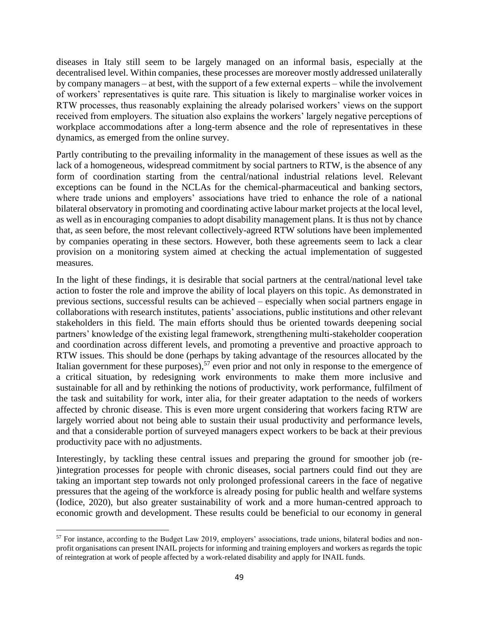diseases in Italy still seem to be largely managed on an informal basis, especially at the decentralised level. Within companies, these processes are moreover mostly addressed unilaterally by company managers – at best, with the support of a few external experts – while the involvement of workers' representatives is quite rare. This situation is likely to marginalise worker voices in RTW processes, thus reasonably explaining the already polarised workers' views on the support received from employers. The situation also explains the workers' largely negative perceptions of workplace accommodations after a long-term absence and the role of representatives in these dynamics, as emerged from the online survey.

Partly contributing to the prevailing informality in the management of these issues as well as the lack of a homogeneous, widespread commitment by social partners to RTW, is the absence of any form of coordination starting from the central/national industrial relations level. Relevant exceptions can be found in the NCLAs for the chemical-pharmaceutical and banking sectors, where trade unions and employers' associations have tried to enhance the role of a national bilateral observatory in promoting and coordinating active labour market projects at the local level, as well as in encouraging companies to adopt disability management plans. It is thus not by chance that, as seen before, the most relevant collectively-agreed RTW solutions have been implemented by companies operating in these sectors. However, both these agreements seem to lack a clear provision on a monitoring system aimed at checking the actual implementation of suggested measures.

In the light of these findings, it is desirable that social partners at the central/national level take action to foster the role and improve the ability of local players on this topic. As demonstrated in previous sections, successful results can be achieved – especially when social partners engage in collaborations with research institutes, patients' associations, public institutions and other relevant stakeholders in this field. The main efforts should thus be oriented towards deepening social partners' knowledge of the existing legal framework, strengthening multi-stakeholder cooperation and coordination across different levels, and promoting a preventive and proactive approach to RTW issues. This should be done (perhaps by taking advantage of the resources allocated by the Italian government for these purposes),<sup>57</sup> even prior and not only in response to the emergence of a critical situation, by redesigning work environments to make them more inclusive and sustainable for all and by rethinking the notions of productivity, work performance, fulfilment of the task and suitability for work, inter alia, for their greater adaptation to the needs of workers affected by chronic disease. This is even more urgent considering that workers facing RTW are largely worried about not being able to sustain their usual productivity and performance levels, and that a considerable portion of surveyed managers expect workers to be back at their previous productivity pace with no adjustments.

Interestingly, by tackling these central issues and preparing the ground for smoother job (re- )integration processes for people with chronic diseases, social partners could find out they are taking an important step towards not only prolonged professional careers in the face of negative pressures that the ageing of the workforce is already posing for public health and welfare systems (Iodice, 2020), but also greater sustainability of work and a more human-centred approach to economic growth and development. These results could be beneficial to our economy in general

<sup>57</sup> For instance, according to the Budget Law 2019, employers' associations, trade unions, bilateral bodies and nonprofit organisations can present INAIL projects for informing and training employers and workers as regards the topic of reintegration at work of people affected by a work-related disability and apply for INAIL funds.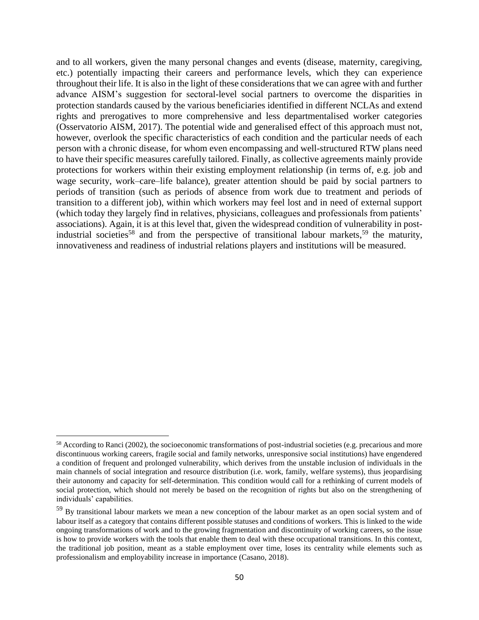and to all workers, given the many personal changes and events (disease, maternity, caregiving, etc.) potentially impacting their careers and performance levels, which they can experience throughout their life. It is also in the light of these considerations that we can agree with and further advance AISM's suggestion for sectoral-level social partners to overcome the disparities in protection standards caused by the various beneficiaries identified in different NCLAs and extend rights and prerogatives to more comprehensive and less departmentalised worker categories (Osservatorio AISM, 2017). The potential wide and generalised effect of this approach must not, however, overlook the specific characteristics of each condition and the particular needs of each person with a chronic disease, for whom even encompassing and well-structured RTW plans need to have their specific measures carefully tailored. Finally, as collective agreements mainly provide protections for workers within their existing employment relationship (in terms of, e.g. job and wage security, work–care–life balance), greater attention should be paid by social partners to periods of transition (such as periods of absence from work due to treatment and periods of transition to a different job), within which workers may feel lost and in need of external support (which today they largely find in relatives, physicians, colleagues and professionals from patients' associations). Again, it is at this level that, given the widespread condition of vulnerability in postindustrial societies<sup>58</sup> and from the perspective of transitional labour markets,<sup>59</sup> the maturity, innovativeness and readiness of industrial relations players and institutions will be measured.

<sup>&</sup>lt;sup>58</sup> According to Ranci (2002), the socioeconomic transformations of post-industrial societies (e.g. precarious and more discontinuous working careers, fragile social and family networks, unresponsive social institutions) have engendered a condition of frequent and prolonged vulnerability, which derives from the unstable inclusion of individuals in the main channels of social integration and resource distribution (i.e. work, family, welfare systems), thus jeopardising their autonomy and capacity for self-determination. This condition would call for a rethinking of current models of social protection, which should not merely be based on the recognition of rights but also on the strengthening of individuals' capabilities.

<sup>&</sup>lt;sup>59</sup> By transitional labour markets we mean a new conception of the labour market as an open social system and of labour itself as a category that contains different possible statuses and conditions of workers. This is linked to the wide ongoing transformations of work and to the growing fragmentation and discontinuity of working careers, so the issue is how to provide workers with the tools that enable them to deal with these occupational transitions. In this context, the traditional job position, meant as a stable employment over time, loses its centrality while elements such as professionalism and employability increase in importance (Casano, 2018).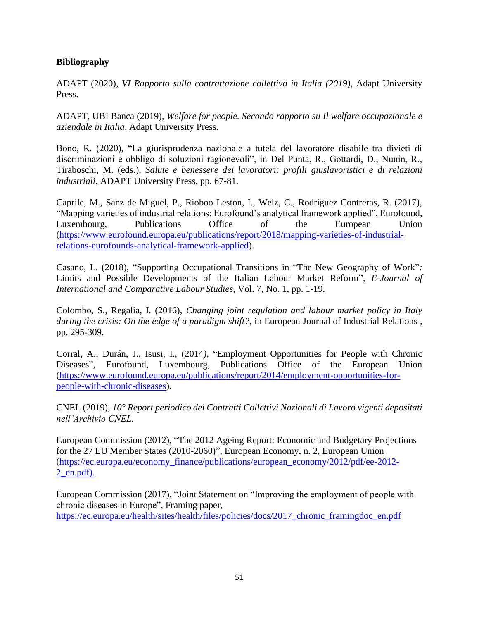## **Bibliography**

ADAPT (2020), *VI Rapporto sulla contrattazione collettiva in Italia (2019)*, Adapt University Press.

ADAPT, UBI Banca (2019), *Welfare for people. Secondo rapporto su Il welfare occupazionale e aziendale in Italia,* Adapt University Press.

Bono, R. (2020), "La giurisprudenza nazionale a tutela del lavoratore disabile tra divieti di discriminazioni e obbligo di soluzioni ragionevoli", in Del Punta, R., Gottardi, D., Nunin, R., Tiraboschi, M. (eds.), *Salute e benessere dei lavoratori: profili giuslavoristici e di relazioni industriali*, ADAPT University Press, pp. 67-81.

Caprile, M., Sanz de Miguel, P., Rioboo Leston, I., Welz, C., Rodriguez Contreras, R. (2017), "Mapping varieties of industrial relations: Eurofound's analytical framework applied", Eurofound, Luxembourg, Publications Office of the European Union [\(https://www.eurofound.europa.eu/publications/report/2018/mapping-varieties-of-industrial](https://www.eurofound.europa.eu/publications/report/2018/mapping-varieties-of-industrial-relations-eurofounds-analytical-framework-applied)[relations-eurofounds-analytical-framework-applied\)](https://www.eurofound.europa.eu/publications/report/2018/mapping-varieties-of-industrial-relations-eurofounds-analytical-framework-applied).

Casano, L. (2018), "Supporting Occupational Transitions in "The New Geography of Work"*:*  Limits and Possible Developments of the Italian Labour Market Reform", *E-Journal of International and Comparative Labour Studies*, Vol. 7, No. 1, pp. 1-19.

Colombo, S., Regalia, I. (2016), *Changing joint regulation and labour market policy in Italy during the crisis: On the edge of a paradigm shift?*, in European Journal of Industrial Relations , pp. 295-309.

Corral, A., Durán, J., Isusi, I., (2014*),* "Employment Opportunities for People with Chronic Diseases", Eurofound, Luxembourg, Publications Office of the European Union [\(https://www.eurofound.europa.eu/publications/report/2014/employment-opportunities-for](https://www.eurofound.europa.eu/publications/report/2014/employment-opportunities-for-people-with-chronic-diseases)[people-with-chronic-diseases\)](https://www.eurofound.europa.eu/publications/report/2014/employment-opportunities-for-people-with-chronic-diseases).

CNEL (2019), *10° Report periodico dei Contratti Collettivi Nazionali di Lavoro vigenti depositati nell'Archivio CNEL.*

European Commission (2012), "The 2012 Ageing Report: Economic and Budgetary Projections for the 27 EU Member States (2010-2060)", European Economy, n. 2, European Union [\(https://ec.europa.eu/economy\\_finance/publications/european\\_economy/2012/pdf/ee-2012-](https://ec.europa.eu/economy_finance/publications/european_economy/2012/pdf/ee-2012-2_en.pdf) [2\\_en.pdf\)](https://ec.europa.eu/economy_finance/publications/european_economy/2012/pdf/ee-2012-2_en.pdf).

European Commission (2017), "Joint Statement on "Improving the employment of people with chronic diseases in Europe", Framing paper, https://ec.europa.eu/health/sites/health/files/policies/docs/2017 chronic framingdoc en.pdf

51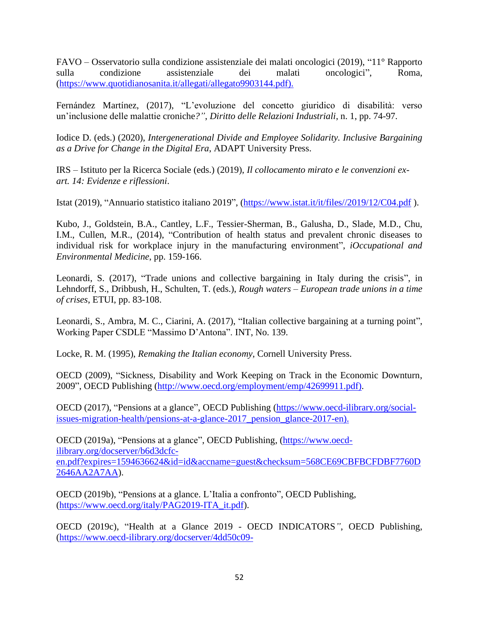FAVO – Osservatorio sulla condizione assistenziale dei malati oncologici (2019), "11° Rapporto sulla condizione assistenziale dei malati oncologici", Roma, [\(https://www.quotidianosanita.it/allegati/allegato9903144.pdf\)](https://www.quotidianosanita.it/allegati/allegato9903144.pdf).

Fernández Martínez, (2017), "L'evoluzione del concetto giuridico di disabilità: verso un'inclusione delle malattie croniche*?"*, *Diritto delle Relazioni Industriali*, n. 1, pp. 74-97.

Iodice D. (eds.) (2020), *Intergenerational Divide and Employee Solidarity. Inclusive Bargaining as a Drive for Change in the Digital Era*, ADAPT University Press.

IRS – Istituto per la Ricerca Sociale (eds.) (2019), *Il collocamento mirato e le convenzioni exart. 14: Evidenze e riflessioni*.

Istat (2019), "Annuario statistico italiano 2019", [\(https://www.istat.it/it/files//2019/12/C04.pdf](https://www.istat.it/it/files/2019/12/C04.pdf) ).

Kubo, J., Goldstein, B.A., Cantley, L.F., Tessier-Sherman, B., Galusha, D., Slade, M.D., Chu, I.M., Cullen, M.R., (2014), "Contribution of health status and prevalent chronic diseases to individual risk for workplace injury in the manufacturing environment", *iOccupational and Environmental Medicine*, pp. 159-166.

Leonardi, S. (2017), "Trade unions and collective bargaining in Italy during the crisis", in Lehndorff, S., Dribbush, H., Schulten, T. (eds.), *Rough waters – European trade unions in a time of crises*, ETUI, pp. 83-108.

Leonardi, S., Ambra, M. C., Ciarini, A. (2017), "Italian collective bargaining at a turning point", Working Paper CSDLE "Massimo D'Antona". INT, No. 139.

Locke, R. M. (1995), *Remaking the Italian economy*, Cornell University Press.

OECD (2009), "Sickness, Disability and Work Keeping on Track in the Economic Downturn, 2009", OECD Publishing [\(http://www.oecd.org/employment/emp/42699911.pdf\)](http://www.oecd.org/employment/emp/42699911.pdf).

OECD (2017), "Pensions at a glance", OECD Publishing [\(https://www.oecd-ilibrary.org/social](https://www.oecd-ilibrary.org/social-issues-migration-health/pensions-at-a-glance-2017_pension_glance-2017-en)issues-migration-health/pensions-at-a-glance-2017 pension glance-2017-en).

OECD (2019a), "Pensions at a glance", OECD Publishing, [\(https://www.oecd](https://www.oecd-ilibrary.org/docserver/b6d3dcfc-en.pdf?expires=1594636624&id=id&accname=guest&checksum=568CE69CBFBCFDBF7760D2646AA2A7AA)[ilibrary.org/docserver/b6d3dcfc](https://www.oecd-ilibrary.org/docserver/b6d3dcfc-en.pdf?expires=1594636624&id=id&accname=guest&checksum=568CE69CBFBCFDBF7760D2646AA2A7AA)[en.pdf?expires=1594636624&id=id&accname=guest&checksum=568CE69CBFBCFDBF7760D](https://www.oecd-ilibrary.org/docserver/b6d3dcfc-en.pdf?expires=1594636624&id=id&accname=guest&checksum=568CE69CBFBCFDBF7760D2646AA2A7AA) [2646AA2A7AA\)](https://www.oecd-ilibrary.org/docserver/b6d3dcfc-en.pdf?expires=1594636624&id=id&accname=guest&checksum=568CE69CBFBCFDBF7760D2646AA2A7AA).

OECD (2019b), "Pensions at a glance. L'Italia a confronto", OECD Publishing, [\(https://www.oecd.org/italy/PAG2019-ITA\\_it.pdf\)](https://www.oecd.org/italy/PAG2019-ITA_it.pdf).

OECD (2019c), "Health at a Glance 2019 - OECD INDICATORS*"*, OECD Publishing, [\(https://www.oecd-ilibrary.org/docserver/4dd50c09-](https://www.oecd-ilibrary.org/docserver/4dd50c09-en.pdf?expires=1593417199&id=id&accname=guest&checksum=3DD754357610C69C02C68D1DD05500EB)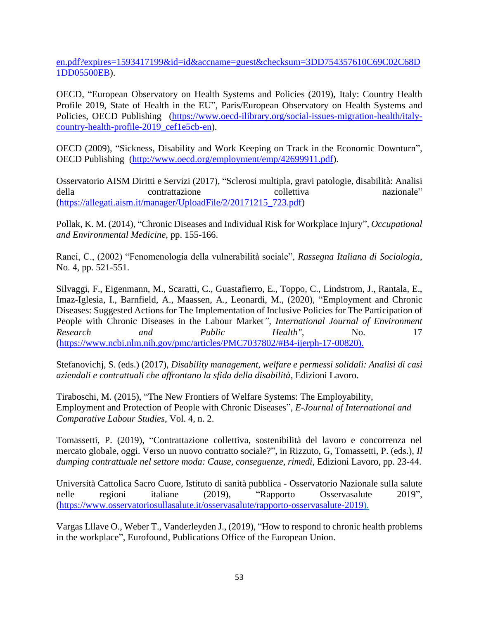[en.pdf?expires=1593417199&id=id&accname=guest&checksum=3DD754357610C69C02C68D](https://www.oecd-ilibrary.org/docserver/4dd50c09-en.pdf?expires=1593417199&id=id&accname=guest&checksum=3DD754357610C69C02C68D1DD05500EB) [1DD05500EB\)](https://www.oecd-ilibrary.org/docserver/4dd50c09-en.pdf?expires=1593417199&id=id&accname=guest&checksum=3DD754357610C69C02C68D1DD05500EB).

OECD, "European Observatory on Health Systems and Policies (2019), Italy: Country Health Profile 2019, State of Health in the EU", Paris/European Observatory on Health Systems and Policies, OECD Publishing [\(https://www.oecd-ilibrary.org/social-issues-migration-health/italy](https://www.oecd-ilibrary.org/social-issues-migration-health/italy-country-health-profile-2019_cef1e5cb-en)[country-health-profile-2019\\_cef1e5cb-en\)](https://www.oecd-ilibrary.org/social-issues-migration-health/italy-country-health-profile-2019_cef1e5cb-en).

OECD (2009), "Sickness, Disability and Work Keeping on Track in the Economic Downturn", OECD Publishing [\(http://www.oecd.org/employment/emp/42699911.pdf\)](http://www.oecd.org/employment/emp/42699911.pdf).

Osservatorio AISM Diritti e Servizi (2017), "Sclerosi multipla, gravi patologie, disabilità: Analisi della contrattazione collettiva nazionale" [\(https://allegati.aism.it/manager/UploadFile/2/20171215\\_723.pdf\)](https://allegati.aism.it/manager/UploadFile/2/20171215_723.pdf)

Pollak, K. M. (2014), "Chronic Diseases and Individual Risk for Workplace Injury"*, Occupational and Environmental Medicine*, pp. 155-166.

Ranci, C., (2002) "Fenomenologia della vulnerabilità sociale", *Rassegna Italiana di Sociologia*, No. 4, pp. 521-551.

Silvaggi, F., Eigenmann, M., Scaratti, C., Guastafierro, E., Toppo, C., Lindstrom, J., Rantala, E., Imaz-Iglesia, I., Barnfield, A., Maassen, A., Leonardi, M., (2020), "Employment and Chronic Diseases: Suggested Actions for The Implementation of Inclusive Policies for The Participation of People with Chronic Diseases in the Labour Market*", International Journal of Environment Research and Public Health"*, No. 17 [\(https://www.ncbi.nlm.nih.gov/pmc/articles/PMC7037802/#B4-ijerph-17-00820\)](https://www.ncbi.nlm.nih.gov/pmc/articles/PMC7037802/#B4-ijerph-17-00820).

Stefanovichj, S. (eds.) (2017), *Disability management, welfare e permessi solidali: Analisi di casi aziendali e contrattuali che affrontano la sfida della disabilità*, Edizioni Lavoro.

Tiraboschi, M. (2015), "The New Frontiers of Welfare Systems: The Employability, Employment and Protection of People with Chronic Diseases", *E-Journal of International and Comparative Labour Studies*, Vol. 4, n. 2.

Tomassetti, P. (2019), "Contrattazione collettiva, sostenibilità del lavoro e concorrenza nel mercato globale, oggi. Verso un nuovo contratto sociale?", in Rizzuto, G, Tomassetti, P. (eds.), *Il dumping contrattuale nel settore moda: Cause, conseguenze, rimedi*, Edizioni Lavoro, pp. 23-44.

Università Cattolica Sacro Cuore, Istituto di sanità pubblica - Osservatorio Nazionale sulla salute nelle regioni italiane (2019), "Rapporto Osservasalute 2019", [\(https://www.osservatoriosullasalute.it/osservasalute/rapporto-osservasalute-2019\)](https://www.osservatoriosullasalute.it/osservasalute/rapporto-osservasalute-2019).

Vargas Lllave O., Weber T., Vanderleyden J., (2019), "How to respond to chronic health problems in the workplace", Eurofound, Publications Office of the European Union.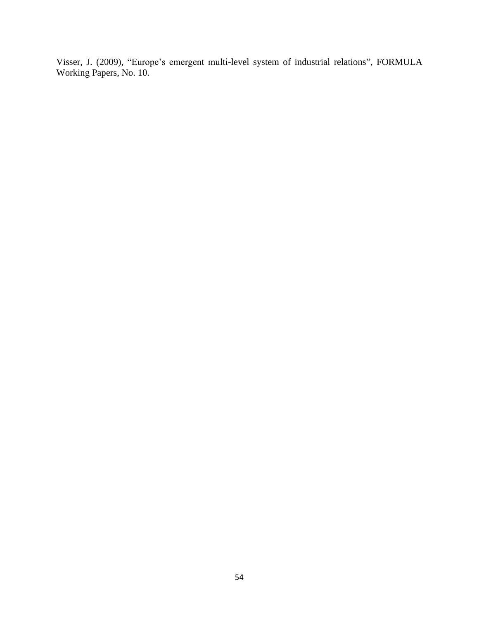Visser, J. (2009), "Europe's emergent multi-level system of industrial relations", FORMULA Working Papers, No. 10.